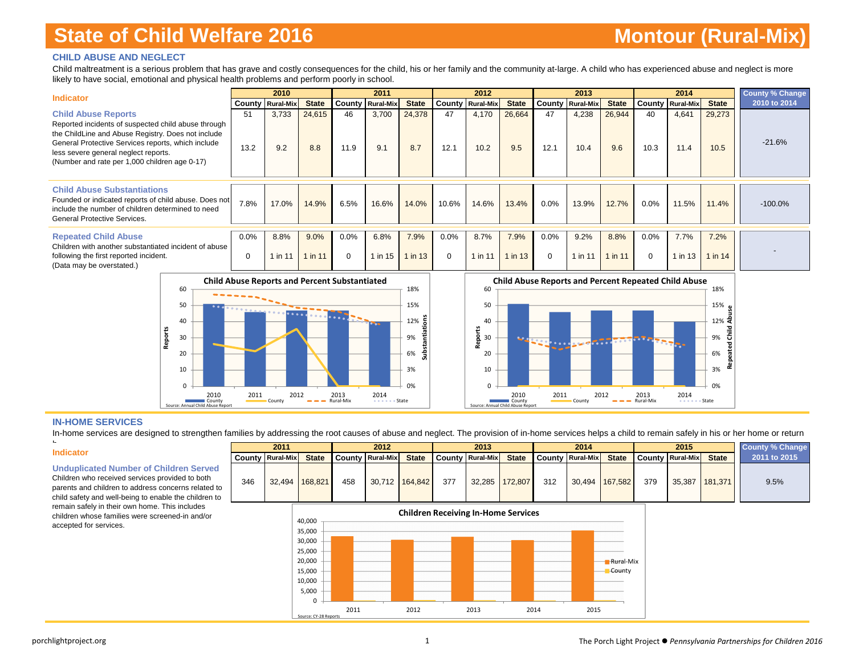#### **CHILD ABUSE AND NEGLECT**

Child maltreatment is a serious problem that has grave and costly consequences for the child, his or her family and the community at-large. A child who has experienced abuse and neglect is more likely to have social, emotional and physical health problems and perform poorly in school.

| <b>Indicator</b>                                                                                                                                                                                                                                                                       |                  | 2010                    |               |                  | 2011                    |                   |                  | 2012                    |                   |                  | 2013                    |                 |                  | 2014                    |                 | <b>County % Change</b> |
|----------------------------------------------------------------------------------------------------------------------------------------------------------------------------------------------------------------------------------------------------------------------------------------|------------------|-------------------------|---------------|------------------|-------------------------|-------------------|------------------|-------------------------|-------------------|------------------|-------------------------|-----------------|------------------|-------------------------|-----------------|------------------------|
|                                                                                                                                                                                                                                                                                        |                  | <b>County Rural-Mix</b> | <b>State</b>  |                  | <b>County Rural-Mix</b> | <b>State</b>      |                  | <b>County Rural-Mix</b> | <b>State</b>      |                  | <b>County Rural-Mix</b> | <b>State</b>    |                  | <b>County Rural-Mix</b> | <b>State</b>    | 2010 to 2014           |
| <b>Child Abuse Reports</b><br>Reported incidents of suspected child abuse through<br>the ChildLine and Abuse Registry. Does not include<br>General Protective Services reports, which include<br>less severe general neglect reports.<br>(Number and rate per 1,000 children age 0-17) | 51<br>13.2       | 3,733<br>9.2            | 24,615<br>8.8 | 46<br>11.9       | 3,700<br>9.1            | 24,378<br>8.7     | 47<br>12.1       | 4,170<br>10.2           | 26,664<br>9.5     | 47<br>12.1       | 4,238<br>10.4           | 26,944<br>9.6   | 40<br>10.3       | 4,641<br>11.4           | 29,273<br>10.5  | $-21.6%$               |
| <b>Child Abuse Substantiations</b><br>Founded or indicated reports of child abuse. Does not<br>include the number of children determined to need<br>General Protective Services.                                                                                                       | 7.8%             | 17.0%                   | 14.9%         | 6.5%             | 16.6%                   | 14.0%             | 10.6%            | 14.6%                   | 13.4%             | 0.0%             | 13.9%                   | 12.7%           | $0.0\%$          | 11.5%                   | 11.4%           | $-100.0%$              |
| <b>Repeated Child Abuse</b><br>Children with another substantiated incident of abuse<br>following the first reported incident.<br>(Data may be overstated.)                                                                                                                            | 0.0%<br>$\Omega$ | 8.8%<br>$1$ in 11       | 9.0%<br>in 11 | 0.0%<br>$\Omega$ | 6.8%<br>1 in 15         | 7.9%<br>$1$ in 13 | 0.0%<br>$\Omega$ | 8.7%<br>1 in 11         | 7.9%<br>$1$ in 13 | 0.0%<br>$\Omega$ | 9.2%<br>1 in 11         | 8.8%<br>1 in 11 | 0.0%<br>$\Omega$ | 7.7%<br>$1$ in $13$     | 7.2%<br>1 in 14 |                        |





#### **IN-HOME SERVICES**

In-home services are designed to strengthen families by addressing the root causes of abuse and neglect. The provision of in-home services helps a child to remain safely in his or her home or return

#### **Indicator**

h

**Unduplicated Number of Children Served**

Children who received services provided to both parents and children to address concerns related to child safety and well-being to enable the children to remain safely in their own home. This includes children whose families were screened-in and/or accepted for services.



**2011 2012 2013 2014 2015**

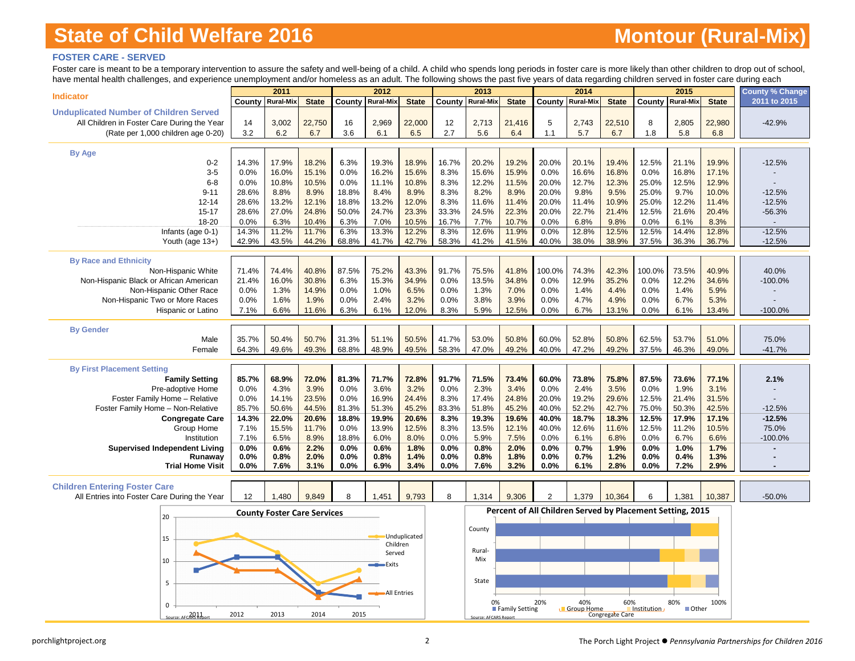# **Montour (Rural-Mix)**

### **FOSTER CARE - SERVED**

Foster care is meant to be a temporary intervention to assure the safety and well-being of a child. A child who spends long periods in foster care is more likely than other children to drop out of school, have mental health challenges, and experience unemployment and/or homeless as a adult. The following shows the past five years of data regarding children served in foster care during each

| nave mental nearing challenges, and experience unemployment and/or nomeless as an addit. The following shows the past five years or data regarding children served in foster care during each |              | 2011                               |               |               | 2012               |                    |              | 2013                  |                |                                                           | 2014              |                 |               | 2015             |               | <b>County % Change</b> |
|-----------------------------------------------------------------------------------------------------------------------------------------------------------------------------------------------|--------------|------------------------------------|---------------|---------------|--------------------|--------------------|--------------|-----------------------|----------------|-----------------------------------------------------------|-------------------|-----------------|---------------|------------------|---------------|------------------------|
| <b>Indicator</b>                                                                                                                                                                              |              | County Rural-Mix                   | <b>State</b>  | County        | <b>Rural-Mix</b>   | <b>State</b>       | County       | <b>Rural-Mix</b>      | <b>State</b>   |                                                           | County Rural-Mix  | <b>State</b>    | County        | <b>Rural-Mix</b> | <b>State</b>  | 2011 to 2015           |
| <b>Unduplicated Number of Children Served</b>                                                                                                                                                 |              |                                    |               |               |                    |                    |              |                       |                |                                                           |                   |                 |               |                  |               |                        |
| All Children in Foster Care During the Year                                                                                                                                                   | 14           | 3,002                              | 22,750        | 16            | 2,969              | 22,000             | 12           | 2,713                 | 21,416         | 5                                                         | 2,743             | 22,510          | 8             | 2,805            | 22,980        | $-42.9%$               |
| (Rate per 1,000 children age 0-20)                                                                                                                                                            | 3.2          | 6.2                                | 6.7           | 3.6           | 6.1                | 6.5                | 2.7          | 5.6                   | 6.4            | 1.1                                                       | 5.7               | 6.7             | 1.8           | 5.8              | 6.8           |                        |
|                                                                                                                                                                                               |              |                                    |               |               |                    |                    |              |                       |                |                                                           |                   |                 |               |                  |               |                        |
| <b>By Age</b>                                                                                                                                                                                 |              |                                    |               |               |                    |                    |              |                       |                |                                                           |                   |                 |               |                  |               |                        |
| $0 - 2$                                                                                                                                                                                       | 14.3%        | 17.9%                              | 18.2%         | 6.3%          | 19.3%              | 18.9%              | 16.7%        | 20.2%                 | 19.2%          | 20.0%                                                     | 20.1%             | 19.4%           | 12.5%         | 21.1%            | 19.9%         | $-12.5%$               |
| $3-5$                                                                                                                                                                                         | 0.0%         | 16.0%                              | 15.1%         | 0.0%          | 16.2%              | 15.6%              | 8.3%         | 15.6%                 | 15.9%          | 0.0%                                                      | 16.6%             | 16.8%           | 0.0%          | 16.8%            | 17.1%         |                        |
| $6-8$                                                                                                                                                                                         | 0.0%         | 10.8%                              | 10.5%         | 0.0%          | 11.1%              | 10.8%              | 8.3%         | 12.2%                 | 11.5%          | 20.0%                                                     | 12.7%             | 12.3%           | 25.0%         | 12.5%            | 12.9%         |                        |
| $9 - 11$                                                                                                                                                                                      | 28.6%        | 8.8%                               | 8.9%          | 18.8%         | 8.4%               | 8.9%               | 8.3%         | 8.2%                  | 8.9%           | 20.0%                                                     | 9.8%              | 9.5%            | 25.0%         | 9.7%             | 10.0%         | $-12.5%$               |
| $12 - 14$                                                                                                                                                                                     | 28.6%        | 13.2%                              | 12.1%         | 18.8%         | 13.2%              | 12.0%              | 8.3%         | 11.6%                 | 11.4%          | 20.0%                                                     | 11.4%             | 10.9%           | 25.0%         | 12.2%            | 11.4%         | $-12.5%$               |
| $15 - 17$                                                                                                                                                                                     | 28.6%        | 27.0%                              | 24.8%         | 50.0%         | 24.7%              | 23.3%              | 33.3%        | 24.5%                 | 22.3%          | 20.0%                                                     | 22.7%             | 21.4%           | 12.5%         | 21.6%            | 20.4%         | $-56.3%$               |
| 18-20                                                                                                                                                                                         | 0.0%         | 6.3%                               | 10.4%         | 6.3%          | 7.0%               | 10.5%              | 16.7%        | 7.7%                  | 10.7%          | 0.0%                                                      | 6.8%              | 9.8%            | 0.0%          | 6.1%             | 8.3%          |                        |
| Infants (age 0-1)                                                                                                                                                                             | 14.3%        | 11.2%                              | 11.7%         | 6.3%          | 13.3%              | 12.2%              | 8.3%         | 12.6%                 | 11.9%          | 0.0%                                                      | 12.8%             | 12.5%           | 12.5%         | 14.4%            | 12.8%         | $-12.5%$               |
| Youth (age 13+)                                                                                                                                                                               | 42.9%        | 43.5%                              | 44.2%         | 68.8%         | 41.7%              | 42.7%              | 58.3%        | 41.2%                 | 41.5%          | 40.0%                                                     | 38.0%             | 38.9%           | 37.5%         | 36.3%            | 36.7%         | $-12.5%$               |
| <b>By Race and Ethnicity</b>                                                                                                                                                                  |              |                                    |               |               |                    |                    |              |                       |                |                                                           |                   |                 |               |                  |               |                        |
| Non-Hispanic White                                                                                                                                                                            | 71.4%        | 74.4%                              | 40.8%         | 87.5%         | 75.2%              | 43.3%              | 91.7%        | 75.5%                 | 41.8%          | 100.0%                                                    | 74.3%             | 42.3%           | 100.0%        | 73.5%            | 40.9%         | 40.0%                  |
| Non-Hispanic Black or African American                                                                                                                                                        | 21.4%        | 16.0%                              | 30.8%         | 6.3%          | 15.3%              | 34.9%              | 0.0%         | 13.5%                 | 34.8%          | 0.0%                                                      | 12.9%             | 35.2%           | 0.0%          | 12.2%            | 34.6%         | $-100.0%$              |
| Non-Hispanic Other Race                                                                                                                                                                       | 0.0%         | 1.3%                               | 14.9%         | 0.0%          | 1.0%               | 6.5%               | 0.0%         | 1.3%                  | 7.0%           | 0.0%                                                      | 1.4%              | 4.4%            | 0.0%          | 1.4%             | 5.9%          |                        |
| Non-Hispanic Two or More Races                                                                                                                                                                | 0.0%         | 1.6%                               | 1.9%          | 0.0%          | 2.4%               | 3.2%               | 0.0%         | 3.8%                  | 3.9%           | 0.0%                                                      | 4.7%              | 4.9%            | 0.0%          | 6.7%             | 5.3%          |                        |
| Hispanic or Latino                                                                                                                                                                            | 7.1%         | 6.6%                               | 11.6%         | 6.3%          | 6.1%               | 12.0%              | 8.3%         | 5.9%                  | 12.5%          | 0.0%                                                      | 6.7%              | 13.1%           | 0.0%          | 6.1%             | 13.4%         | $-100.0%$              |
|                                                                                                                                                                                               |              |                                    |               |               |                    |                    |              |                       |                |                                                           |                   |                 |               |                  |               |                        |
| <b>By Gender</b>                                                                                                                                                                              |              |                                    |               |               |                    |                    |              |                       |                |                                                           |                   |                 |               |                  |               |                        |
| Male                                                                                                                                                                                          | 35.7%        | 50.4%                              | 50.7%         | 31.3%         | 51.1%              | 50.5%              | 41.7%        | 53.0%                 | 50.8%          | 60.0%                                                     | 52.8%             | 50.8%           | 62.5%         | 53.7%            | 51.0%         | 75.0%                  |
| Female                                                                                                                                                                                        | 64.3%        | 49.6%                              | 49.3%         | 68.8%         | 48.9%              | 49.5%              | 58.3%        | 47.0%                 | 49.2%          | 40.0%                                                     | 47.2%             | 49.2%           | 37.5%         | 46.3%            | 49.0%         | $-41.7%$               |
|                                                                                                                                                                                               |              |                                    |               |               |                    |                    |              |                       |                |                                                           |                   |                 |               |                  |               |                        |
| <b>By First Placement Setting</b>                                                                                                                                                             |              |                                    |               |               |                    |                    |              |                       |                |                                                           |                   |                 |               |                  |               |                        |
| <b>Family Setting</b>                                                                                                                                                                         | 85.7%        | 68.9%                              | 72.0%         | 81.3%         | 71.7%              | 72.8%              | 91.7%        | 71.5%                 | 73.4%          | 60.0%                                                     | 73.8%             | 75.8%           | 87.5%         | 73.6%            | 77.1%         | 2.1%                   |
| Pre-adoptive Home                                                                                                                                                                             | 0.0%         | 4.3%                               | 3.9%          | 0.0%          | 3.6%               | 3.2%               | 0.0%         | 2.3%                  | 3.4%           | 0.0%                                                      | 2.4%              | 3.5%            | 0.0%          | 1.9%             | 3.1%          |                        |
| Foster Family Home - Relative                                                                                                                                                                 | 0.0%         | 14.1%                              | 23.5%         | 0.0%          | 16.9%              | 24.4%              | 8.3%         | 17.4%                 | 24.8%          | 20.0%                                                     | 19.2%             | 29.6%           | 12.5%         | 21.4%            | 31.5%         |                        |
| Foster Family Home - Non-Relative                                                                                                                                                             | 85.7%        | 50.6%                              | 44.5%         | 81.3%         | 51.3%              | 45.2%              | 83.3%        | 51.8%                 | 45.2%          | 40.0%                                                     | 52.2%             | 42.7%           | 75.0%         | 50.3%            | 42.5%         | $-12.5%$               |
| <b>Congregate Care</b>                                                                                                                                                                        | 14.3%        | 22.0%                              | 20.6%         | 18.8%         | 19.9%              | 20.6%              | 8.3%         | 19.3%                 | 19.6%          | 40.0%                                                     | 18.7%             | 18.3%           | 12.5%         | 17.9%            | 17.1%         | $-12.5%$<br>75.0%      |
| Group Home<br>Institution                                                                                                                                                                     | 7.1%<br>7.1% | 15.5%<br>6.5%                      | 11.7%<br>8.9% | 0.0%<br>18.8% | 13.9%<br>6.0%      | 12.5%<br>8.0%      | 8.3%<br>0.0% | 13.5%<br>5.9%         | 12.1%<br>7.5%  | 40.0%<br>0.0%                                             | 12.6%<br>6.1%     | 11.6%<br>6.8%   | 12.5%<br>0.0% | 11.2%<br>6.7%    | 10.5%<br>6.6% | $-100.0%$              |
| <b>Supervised Independent Living</b>                                                                                                                                                          | 0.0%         | 0.6%                               | 2.2%          | 0.0%          | 0.6%               | 1.8%               | 0.0%         | 0.8%                  | 2.0%           | 0.0%                                                      | 0.7%              | 1.9%            | 0.0%          | 1.0%             | 1.7%          |                        |
| Runaway                                                                                                                                                                                       | 0.0%         | 0.8%                               | 2.0%          | 0.0%          | 0.8%               | 1.4%               | 0.0%         | 0.8%                  | 1.8%           | $0.0\%$                                                   | 0.7%              | 1.2%            | 0.0%          | 0.4%             | 1.3%          |                        |
| <b>Trial Home Visit</b>                                                                                                                                                                       | 0.0%         | 7.6%                               | 3.1%          | 0.0%          | 6.9%               | 3.4%               | 0.0%         | 7.6%                  | 3.2%           | 0.0%                                                      | 6.1%              | 2.8%            | 0.0%          | 7.2%             | 2.9%          |                        |
|                                                                                                                                                                                               |              |                                    |               |               |                    |                    |              |                       |                |                                                           |                   |                 |               |                  |               |                        |
| <b>Children Entering Foster Care</b>                                                                                                                                                          |              |                                    |               |               |                    |                    |              |                       |                |                                                           |                   |                 |               |                  |               |                        |
| All Entries into Foster Care During the Year                                                                                                                                                  | 12           | 1,480                              | 9,849         | 8             | 1.451              | 9,793              | 8            | 1,314                 | 9,306          | $\overline{2}$                                            | 1,379             | 10,364          | 6             | 1,381            | 10,387        | $-50.0%$               |
|                                                                                                                                                                                               |              |                                    |               |               |                    |                    |              |                       |                | Percent of All Children Served by Placement Setting, 2015 |                   |                 |               |                  |               |                        |
| 20                                                                                                                                                                                            |              | <b>County Foster Care Services</b> |               |               |                    |                    |              |                       |                |                                                           |                   |                 |               |                  |               |                        |
|                                                                                                                                                                                               |              |                                    |               |               |                    |                    |              | County                |                |                                                           |                   |                 |               |                  |               |                        |
| 15                                                                                                                                                                                            |              |                                    |               |               |                    | Unduplicated       |              |                       |                |                                                           |                   |                 |               |                  |               |                        |
|                                                                                                                                                                                               |              |                                    |               |               | Children<br>Served |                    |              | Rural-                |                |                                                           |                   |                 |               |                  |               |                        |
| 10                                                                                                                                                                                            |              |                                    |               |               |                    |                    |              | Mix                   |                |                                                           |                   |                 |               |                  |               |                        |
|                                                                                                                                                                                               |              |                                    |               |               | -Exits             |                    |              |                       |                |                                                           |                   |                 |               |                  |               |                        |
| 5                                                                                                                                                                                             |              |                                    |               |               |                    |                    |              | State                 |                |                                                           |                   |                 |               |                  |               |                        |
|                                                                                                                                                                                               |              |                                    |               |               |                    | <b>All Entries</b> |              |                       |                |                                                           |                   |                 |               |                  |               |                        |
| $\mathbf 0$                                                                                                                                                                                   |              |                                    |               |               |                    |                    |              |                       |                | 20%                                                       | 40%<br>Group Home | 60%             |               | 80%              | 100%          |                        |
| Source: AFCARS Repo                                                                                                                                                                           | 2012         | 2013                               | 2014          | 2015          |                    |                    |              |                       | Family Setting |                                                           |                   | Congregate Care | Institution   | ■ Other          |               |                        |
|                                                                                                                                                                                               |              |                                    |               |               |                    |                    |              | Source: AECARS Report |                |                                                           |                   |                 |               |                  |               |                        |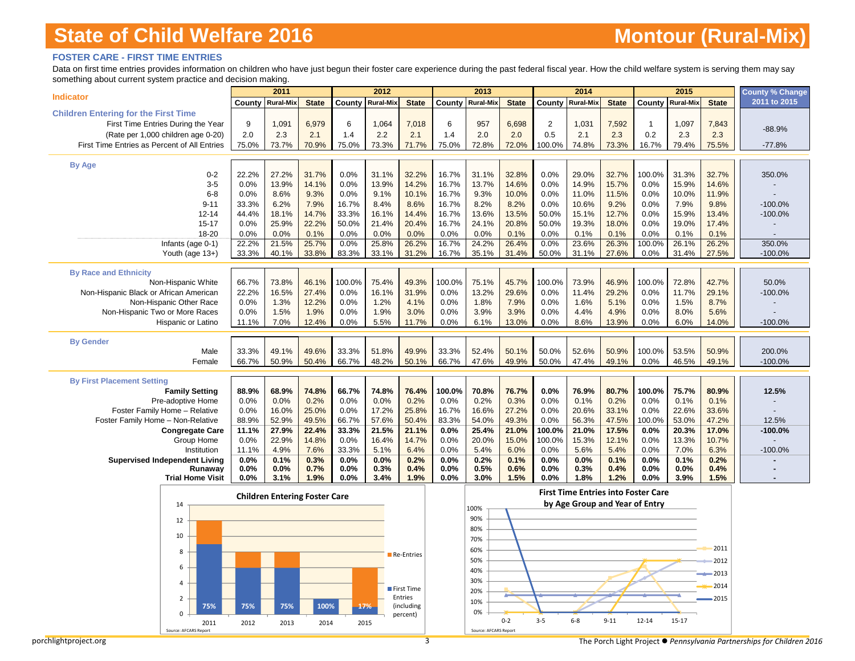### **FOSTER CARE - FIRST TIME ENTRIES**

Data on first time entries provides information on children who have just begun their foster care experience during the past federal fiscal year. How the child welfare system is serving them may say something about current system practice and decision making.

| 2011 to 2015<br>Rural-Mix<br><b>State</b><br>County<br>Rural-Mix<br><b>State</b><br>County<br><b>Rural-Mix</b><br><b>State</b><br>County<br><b>Rural-Mix</b><br><b>State</b><br>County<br><b>Rural-Mix</b><br><b>State</b><br>County<br><b>Children Entering for the First Time</b><br>6,979<br>6<br>$\overline{2}$<br>First Time Entries During the Year<br>9<br>1,091<br>6<br>1,064<br>7,018<br>957<br>6,698<br>1,031<br>7,592<br>1,097<br>7,843<br>$\mathbf{1}$<br>$-88.9%$<br>2.0<br>2.3<br>2.1<br>2.2<br>2.1<br>2.0<br>2.0<br>0.5<br>2.1<br>2.3<br>0.2<br>2.3<br>2.3<br>(Rate per 1,000 children age 0-20)<br>1.4<br>1.4<br>First Time Entries as Percent of All Entries<br>75.0%<br>70.9%<br>75.0%<br>73.3%<br>71.7%<br>75.0%<br>72.8%<br>72.0%<br>100.0%<br>74.8%<br>73.3%<br>73.7%<br>16.7%<br>79.4%<br>75.5%<br>$-77.8%$<br><b>By Age</b><br>32.8%<br>$0 - 2$<br>22.2%<br>27.2%<br>31.7%<br>0.0%<br>31.1%<br>32.2%<br>16.7%<br>31.1%<br>0.0%<br>29.0%<br>32.7%<br>100.0%<br>31.3%<br>32.7%<br>350.0%<br>13.9%<br>14.1%<br>14.2%<br>13.7%<br>0.0%<br>$3-5$<br>0.0%<br>0.0%<br>13.9%<br>16.7%<br>14.6%<br>14.9%<br>15.7%<br>0.0%<br>15.9%<br>14.6%<br>0.0%<br>8.6%<br>9.3%<br>0.0%<br>9.1%<br>10.1%<br>16.7%<br>9.3%<br>10.0%<br>0.0%<br>11.0%<br>11.5%<br>0.0%<br>10.0%<br>11.9%<br>$6 - 8$<br>$9 - 11$<br>33.3%<br>6.2%<br>7.9%<br>16.7%<br>8.4%<br>8.6%<br>16.7%<br>8.2%<br>8.2%<br>0.0%<br>10.6%<br>9.2%<br>0.0%<br>7.9%<br>9.8%<br>$-100.0%$<br>44.4%<br>33.3%<br>16.1%<br>13.5%<br>50.0%<br>15.1%<br>12.7%<br>$-100.0%$<br>$12 - 14$<br>18.1%<br>14.7%<br>14.4%<br>16.7%<br>13.6%<br>0.0%<br>15.9%<br>13.4%<br>$15 - 17$<br>25.9%<br>22.2%<br>50.0%<br>21.4%<br>20.4%<br>16.7%<br>24.1%<br>20.8%<br>50.0%<br>18.0%<br>0.0%<br>19.0%<br>0.0%<br>19.3%<br>17.4%<br>18-20<br>0.0%<br>0.0%<br>0.0%<br>0.0%<br>0.0%<br>0.0%<br>0.0%<br>0.1%<br>0.1%<br>0.0%<br>0.1%<br>0.0%<br>0.1%<br>0.1%<br>0.1%<br>25.7%<br>25.8%<br>26.2%<br>26.4%<br>26.3%<br>22.2%<br>21.5%<br>0.0%<br>16.7%<br>24.2%<br>0.0%<br>23.6%<br>100.0%<br>26.1%<br>26.2%<br>350.0%<br>Infants (age 0-1)<br>31.4%<br>27.6%<br>Youth (age 13+)<br>33.3%<br>40.1%<br>33.8%<br>83.3%<br>33.1%<br>31.2%<br>16.7%<br>35.1%<br>50.0%<br>31.1%<br>0.0%<br>31.4%<br>27.5%<br>$-100.0\%$<br><b>By Race and Ethnicity</b><br>66.7%<br>73.8%<br>46.1%<br>100.0%<br>75.4%<br>49.3%<br>100.0%<br>75.1%<br>45.7%<br>100.0%<br>73.9%<br>46.9%<br>100.0%<br>72.8%<br>42.7%<br>50.0%<br>Non-Hispanic White<br>Non-Hispanic Black or African American<br>22.2%<br>16.5%<br>27.4%<br>0.0%<br>16.1%<br>31.9%<br>0.0%<br>13.2%<br>29.6%<br>0.0%<br>11.4%<br>29.2%<br>0.0%<br>11.7%<br>29.1%<br>$-100.0%$<br>Non-Hispanic Other Race<br>0.0%<br>1.2%<br>1.8%<br>7.9%<br>0.0%<br>1.6%<br>5.1%<br>8.7%<br>1.3%<br>12.2%<br>0.0%<br>4.1%<br>0.0%<br>0.0%<br>1.5%<br>0.0%<br>1.9%<br>0.0%<br>1.9%<br>3.0%<br>0.0%<br>3.9%<br>3.9%<br>0.0%<br>4.4%<br>4.9%<br>0.0%<br>8.0%<br>Non-Hispanic Two or More Races<br>1.5%<br>5.6%<br>12.4%<br>0.0%<br>5.5%<br>11.7%<br>6.1%<br>13.0%<br>8.6%<br>13.9%<br>Hispanic or Latino<br>11.1%<br>7.0%<br>0.0%<br>0.0%<br>0.0%<br>6.0%<br>14.0%<br>$-100.0%$<br><b>By Gender</b><br>52.4%<br>50.9%<br>50.9%<br>Male<br>33.3%<br>49.1%<br>49.6%<br>33.3%<br>51.8%<br>49.9%<br>33.3%<br>50.1%<br>50.0%<br>52.6%<br>100.0%<br>53.5%<br>200.0%<br>49.9%<br>50.0%<br>47.4%<br>66.7%<br>50.9%<br>50.4%<br>66.7%<br>48.2%<br>50.1%<br>66.7%<br>47.6%<br>49.1%<br>0.0%<br>46.5%<br>49.1%<br>$-100.0%$<br>Female<br><b>By First Placement Setting</b><br><b>Family Setting</b><br>88.9%<br>68.9%<br>74.8%<br>66.7%<br>74.8%<br>76.4%<br>100.0%<br>70.8%<br>76.7%<br>0.0%<br>76.9%<br>80.7%<br>100.0%<br>75.7%<br>80.9%<br>12.5%<br>0.0%<br>0.0%<br>0.2%<br>0.0%<br>0.0%<br>0.2%<br>0.0%<br>0.2%<br>0.3%<br>0.0%<br>0.1%<br>0.2%<br>0.0%<br>0.1%<br>0.1%<br>Pre-adoptive Home<br>25.0%<br>25.8%<br>27.2%<br>Foster Family Home - Relative<br>0.0%<br>16.0%<br>0.0%<br>17.2%<br>16.7%<br>16.6%<br>0.0%<br>20.6%<br>33.1%<br>0.0%<br>22.6%<br>33.6%<br>52.9%<br>49.5%<br>66.7%<br>57.6%<br>50.4%<br>83.3%<br>54.0%<br>49.3%<br>56.3%<br>47.5%<br>53.0%<br>12.5%<br>Foster Family Home - Non-Relative<br>88.9%<br>0.0%<br>100.0%<br>47.2%<br>27.9%<br>33.3%<br>21.5%<br>21.1%<br>25.4%<br>21.0%<br>21.0%<br>17.5%<br>0.0%<br>20.3%<br>17.0%<br><b>Congregate Care</b><br>11.1%<br>22.4%<br>0.0%<br>100.0%<br>$-100.0%$<br>Group Home<br>22.9%<br>14.8%<br>0.0%<br>16.4%<br>14.7%<br>20.0%<br>15.0%<br>100.0%<br>12.1%<br>10.7%<br>0.0%<br>0.0%<br>15.3%<br>0.0%<br>13.3%<br>0.0%<br>Institution<br>11.1%<br>4.9%<br>7.6%<br>33.3%<br>5.1%<br>6.4%<br>5.4%<br>6.0%<br>0.0%<br>5.6%<br>5.4%<br>0.0%<br>7.0%<br>6.3%<br>$-100.0%$<br>0.2%<br>0.2%<br>0.1%<br><b>Supervised Independent Living</b><br>0.0%<br>0.1%<br>0.3%<br>0.0%<br>0.0%<br>0.0%<br>0.1%<br>0.0%<br>0.0%<br>0.0%<br>0.1%<br>0.2%<br>0.5%<br>0.6%<br>Runaway<br>0.0%<br>0.0%<br>0.7%<br>0.0%<br>0.3%<br>0.4%<br>0.0%<br>0.0%<br>0.3%<br>0.4%<br>0.0%<br>0.0%<br>0.4%<br><b>Trial Home Visit</b><br>0.0%<br>3.1%<br>1.9%<br>0.0%<br>3.4%<br>1.9%<br>0.0%<br>3.0%<br>1.5%<br>0.0%<br>1.8%<br>1.2%<br>0.0%<br>3.9%<br>1.5%<br><b>First Time Entries into Foster Care</b><br><b>Children Entering Foster Care</b><br>by Age Group and Year of Entry<br>14<br>100%<br>90%<br>12<br>80%<br>10<br>70%<br>2011<br>60%<br>8<br>Re-Entries<br>50%<br>2012<br>6<br>40%<br>2013<br>30%<br>4<br>2014<br>First Time<br>20%<br>Entries<br>2<br>2015<br>10%<br>75%<br>100%<br>(including<br>75%<br>75%<br>17% |                  | 2011 |  | 2012 |          | 2013 |  | 2014 |  | 2015 | County % Change |
|-----------------------------------------------------------------------------------------------------------------------------------------------------------------------------------------------------------------------------------------------------------------------------------------------------------------------------------------------------------------------------------------------------------------------------------------------------------------------------------------------------------------------------------------------------------------------------------------------------------------------------------------------------------------------------------------------------------------------------------------------------------------------------------------------------------------------------------------------------------------------------------------------------------------------------------------------------------------------------------------------------------------------------------------------------------------------------------------------------------------------------------------------------------------------------------------------------------------------------------------------------------------------------------------------------------------------------------------------------------------------------------------------------------------------------------------------------------------------------------------------------------------------------------------------------------------------------------------------------------------------------------------------------------------------------------------------------------------------------------------------------------------------------------------------------------------------------------------------------------------------------------------------------------------------------------------------------------------------------------------------------------------------------------------------------------------------------------------------------------------------------------------------------------------------------------------------------------------------------------------------------------------------------------------------------------------------------------------------------------------------------------------------------------------------------------------------------------------------------------------------------------------------------------------------------------------------------------------------------------------------------------------------------------------------------------------------------------------------------------------------------------------------------------------------------------------------------------------------------------------------------------------------------------------------------------------------------------------------------------------------------------------------------------------------------------------------------------------------------------------------------------------------------------------------------------------------------------------------------------------------------------------------------------------------------------------------------------------------------------------------------------------------------------------------------------------------------------------------------------------------------------------------------------------------------------------------------------------------------------------------------------------------------------------------------------------------------------------------------------------------------------------------------------------------------------------------------------------------------------------------------------------------------------------------------------------------------------------------------------------------------------------------------------------------------------------------------------------------------------------------------------------------------------------------------------------------------------------------------------------------------------------------------------------------------------------------------------------------------------------------------------------------------------------------------------------------------------------------------------------------------------------------------------------------------------------------------------------------------------------------------------------------------------------------------------------------------------------------------------------------------------------------------------------------------------------------------------------------------------------------------------------------------------------------------------------------------------------------------------------------------------------------------------------------------------------------------------------------------------------------------------------------------------------------------------------------------------------------------------------------------------------------------------------------------------------------------------------------------------------------------------------------------------------------------------------------------------------------------------------------------------------------------|------------------|------|--|------|----------|------|--|------|--|------|-----------------|
|                                                                                                                                                                                                                                                                                                                                                                                                                                                                                                                                                                                                                                                                                                                                                                                                                                                                                                                                                                                                                                                                                                                                                                                                                                                                                                                                                                                                                                                                                                                                                                                                                                                                                                                                                                                                                                                                                                                                                                                                                                                                                                                                                                                                                                                                                                                                                                                                                                                                                                                                                                                                                                                                                                                                                                                                                                                                                                                                                                                                                                                                                                                                                                                                                                                                                                                                                                                                                                                                                                                                                                                                                                                                                                                                                                                                                                                                                                                                                                                                                                                                                                                                                                                                                                                                                                                                                                                                                                                                                                                                                                                                                                                                                                                                                                                                                                                                                                                                                                                                                                                                                                                                                                                                                                                                                                                                                                                                                                                                                                                             | <b>Indicator</b> |      |  |      |          |      |  |      |  |      |                 |
|                                                                                                                                                                                                                                                                                                                                                                                                                                                                                                                                                                                                                                                                                                                                                                                                                                                                                                                                                                                                                                                                                                                                                                                                                                                                                                                                                                                                                                                                                                                                                                                                                                                                                                                                                                                                                                                                                                                                                                                                                                                                                                                                                                                                                                                                                                                                                                                                                                                                                                                                                                                                                                                                                                                                                                                                                                                                                                                                                                                                                                                                                                                                                                                                                                                                                                                                                                                                                                                                                                                                                                                                                                                                                                                                                                                                                                                                                                                                                                                                                                                                                                                                                                                                                                                                                                                                                                                                                                                                                                                                                                                                                                                                                                                                                                                                                                                                                                                                                                                                                                                                                                                                                                                                                                                                                                                                                                                                                                                                                                                             |                  |      |  |      |          |      |  |      |  |      |                 |
|                                                                                                                                                                                                                                                                                                                                                                                                                                                                                                                                                                                                                                                                                                                                                                                                                                                                                                                                                                                                                                                                                                                                                                                                                                                                                                                                                                                                                                                                                                                                                                                                                                                                                                                                                                                                                                                                                                                                                                                                                                                                                                                                                                                                                                                                                                                                                                                                                                                                                                                                                                                                                                                                                                                                                                                                                                                                                                                                                                                                                                                                                                                                                                                                                                                                                                                                                                                                                                                                                                                                                                                                                                                                                                                                                                                                                                                                                                                                                                                                                                                                                                                                                                                                                                                                                                                                                                                                                                                                                                                                                                                                                                                                                                                                                                                                                                                                                                                                                                                                                                                                                                                                                                                                                                                                                                                                                                                                                                                                                                                             |                  |      |  |      |          |      |  |      |  |      |                 |
|                                                                                                                                                                                                                                                                                                                                                                                                                                                                                                                                                                                                                                                                                                                                                                                                                                                                                                                                                                                                                                                                                                                                                                                                                                                                                                                                                                                                                                                                                                                                                                                                                                                                                                                                                                                                                                                                                                                                                                                                                                                                                                                                                                                                                                                                                                                                                                                                                                                                                                                                                                                                                                                                                                                                                                                                                                                                                                                                                                                                                                                                                                                                                                                                                                                                                                                                                                                                                                                                                                                                                                                                                                                                                                                                                                                                                                                                                                                                                                                                                                                                                                                                                                                                                                                                                                                                                                                                                                                                                                                                                                                                                                                                                                                                                                                                                                                                                                                                                                                                                                                                                                                                                                                                                                                                                                                                                                                                                                                                                                                             |                  |      |  |      |          |      |  |      |  |      |                 |
|                                                                                                                                                                                                                                                                                                                                                                                                                                                                                                                                                                                                                                                                                                                                                                                                                                                                                                                                                                                                                                                                                                                                                                                                                                                                                                                                                                                                                                                                                                                                                                                                                                                                                                                                                                                                                                                                                                                                                                                                                                                                                                                                                                                                                                                                                                                                                                                                                                                                                                                                                                                                                                                                                                                                                                                                                                                                                                                                                                                                                                                                                                                                                                                                                                                                                                                                                                                                                                                                                                                                                                                                                                                                                                                                                                                                                                                                                                                                                                                                                                                                                                                                                                                                                                                                                                                                                                                                                                                                                                                                                                                                                                                                                                                                                                                                                                                                                                                                                                                                                                                                                                                                                                                                                                                                                                                                                                                                                                                                                                                             |                  |      |  |      |          |      |  |      |  |      |                 |
|                                                                                                                                                                                                                                                                                                                                                                                                                                                                                                                                                                                                                                                                                                                                                                                                                                                                                                                                                                                                                                                                                                                                                                                                                                                                                                                                                                                                                                                                                                                                                                                                                                                                                                                                                                                                                                                                                                                                                                                                                                                                                                                                                                                                                                                                                                                                                                                                                                                                                                                                                                                                                                                                                                                                                                                                                                                                                                                                                                                                                                                                                                                                                                                                                                                                                                                                                                                                                                                                                                                                                                                                                                                                                                                                                                                                                                                                                                                                                                                                                                                                                                                                                                                                                                                                                                                                                                                                                                                                                                                                                                                                                                                                                                                                                                                                                                                                                                                                                                                                                                                                                                                                                                                                                                                                                                                                                                                                                                                                                                                             |                  |      |  |      |          |      |  |      |  |      |                 |
|                                                                                                                                                                                                                                                                                                                                                                                                                                                                                                                                                                                                                                                                                                                                                                                                                                                                                                                                                                                                                                                                                                                                                                                                                                                                                                                                                                                                                                                                                                                                                                                                                                                                                                                                                                                                                                                                                                                                                                                                                                                                                                                                                                                                                                                                                                                                                                                                                                                                                                                                                                                                                                                                                                                                                                                                                                                                                                                                                                                                                                                                                                                                                                                                                                                                                                                                                                                                                                                                                                                                                                                                                                                                                                                                                                                                                                                                                                                                                                                                                                                                                                                                                                                                                                                                                                                                                                                                                                                                                                                                                                                                                                                                                                                                                                                                                                                                                                                                                                                                                                                                                                                                                                                                                                                                                                                                                                                                                                                                                                                             |                  |      |  |      |          |      |  |      |  |      |                 |
|                                                                                                                                                                                                                                                                                                                                                                                                                                                                                                                                                                                                                                                                                                                                                                                                                                                                                                                                                                                                                                                                                                                                                                                                                                                                                                                                                                                                                                                                                                                                                                                                                                                                                                                                                                                                                                                                                                                                                                                                                                                                                                                                                                                                                                                                                                                                                                                                                                                                                                                                                                                                                                                                                                                                                                                                                                                                                                                                                                                                                                                                                                                                                                                                                                                                                                                                                                                                                                                                                                                                                                                                                                                                                                                                                                                                                                                                                                                                                                                                                                                                                                                                                                                                                                                                                                                                                                                                                                                                                                                                                                                                                                                                                                                                                                                                                                                                                                                                                                                                                                                                                                                                                                                                                                                                                                                                                                                                                                                                                                                             |                  |      |  |      |          |      |  |      |  |      |                 |
|                                                                                                                                                                                                                                                                                                                                                                                                                                                                                                                                                                                                                                                                                                                                                                                                                                                                                                                                                                                                                                                                                                                                                                                                                                                                                                                                                                                                                                                                                                                                                                                                                                                                                                                                                                                                                                                                                                                                                                                                                                                                                                                                                                                                                                                                                                                                                                                                                                                                                                                                                                                                                                                                                                                                                                                                                                                                                                                                                                                                                                                                                                                                                                                                                                                                                                                                                                                                                                                                                                                                                                                                                                                                                                                                                                                                                                                                                                                                                                                                                                                                                                                                                                                                                                                                                                                                                                                                                                                                                                                                                                                                                                                                                                                                                                                                                                                                                                                                                                                                                                                                                                                                                                                                                                                                                                                                                                                                                                                                                                                             |                  |      |  |      |          |      |  |      |  |      |                 |
|                                                                                                                                                                                                                                                                                                                                                                                                                                                                                                                                                                                                                                                                                                                                                                                                                                                                                                                                                                                                                                                                                                                                                                                                                                                                                                                                                                                                                                                                                                                                                                                                                                                                                                                                                                                                                                                                                                                                                                                                                                                                                                                                                                                                                                                                                                                                                                                                                                                                                                                                                                                                                                                                                                                                                                                                                                                                                                                                                                                                                                                                                                                                                                                                                                                                                                                                                                                                                                                                                                                                                                                                                                                                                                                                                                                                                                                                                                                                                                                                                                                                                                                                                                                                                                                                                                                                                                                                                                                                                                                                                                                                                                                                                                                                                                                                                                                                                                                                                                                                                                                                                                                                                                                                                                                                                                                                                                                                                                                                                                                             |                  |      |  |      |          |      |  |      |  |      |                 |
|                                                                                                                                                                                                                                                                                                                                                                                                                                                                                                                                                                                                                                                                                                                                                                                                                                                                                                                                                                                                                                                                                                                                                                                                                                                                                                                                                                                                                                                                                                                                                                                                                                                                                                                                                                                                                                                                                                                                                                                                                                                                                                                                                                                                                                                                                                                                                                                                                                                                                                                                                                                                                                                                                                                                                                                                                                                                                                                                                                                                                                                                                                                                                                                                                                                                                                                                                                                                                                                                                                                                                                                                                                                                                                                                                                                                                                                                                                                                                                                                                                                                                                                                                                                                                                                                                                                                                                                                                                                                                                                                                                                                                                                                                                                                                                                                                                                                                                                                                                                                                                                                                                                                                                                                                                                                                                                                                                                                                                                                                                                             |                  |      |  |      |          |      |  |      |  |      |                 |
|                                                                                                                                                                                                                                                                                                                                                                                                                                                                                                                                                                                                                                                                                                                                                                                                                                                                                                                                                                                                                                                                                                                                                                                                                                                                                                                                                                                                                                                                                                                                                                                                                                                                                                                                                                                                                                                                                                                                                                                                                                                                                                                                                                                                                                                                                                                                                                                                                                                                                                                                                                                                                                                                                                                                                                                                                                                                                                                                                                                                                                                                                                                                                                                                                                                                                                                                                                                                                                                                                                                                                                                                                                                                                                                                                                                                                                                                                                                                                                                                                                                                                                                                                                                                                                                                                                                                                                                                                                                                                                                                                                                                                                                                                                                                                                                                                                                                                                                                                                                                                                                                                                                                                                                                                                                                                                                                                                                                                                                                                                                             |                  |      |  |      |          |      |  |      |  |      |                 |
|                                                                                                                                                                                                                                                                                                                                                                                                                                                                                                                                                                                                                                                                                                                                                                                                                                                                                                                                                                                                                                                                                                                                                                                                                                                                                                                                                                                                                                                                                                                                                                                                                                                                                                                                                                                                                                                                                                                                                                                                                                                                                                                                                                                                                                                                                                                                                                                                                                                                                                                                                                                                                                                                                                                                                                                                                                                                                                                                                                                                                                                                                                                                                                                                                                                                                                                                                                                                                                                                                                                                                                                                                                                                                                                                                                                                                                                                                                                                                                                                                                                                                                                                                                                                                                                                                                                                                                                                                                                                                                                                                                                                                                                                                                                                                                                                                                                                                                                                                                                                                                                                                                                                                                                                                                                                                                                                                                                                                                                                                                                             |                  |      |  |      |          |      |  |      |  |      |                 |
|                                                                                                                                                                                                                                                                                                                                                                                                                                                                                                                                                                                                                                                                                                                                                                                                                                                                                                                                                                                                                                                                                                                                                                                                                                                                                                                                                                                                                                                                                                                                                                                                                                                                                                                                                                                                                                                                                                                                                                                                                                                                                                                                                                                                                                                                                                                                                                                                                                                                                                                                                                                                                                                                                                                                                                                                                                                                                                                                                                                                                                                                                                                                                                                                                                                                                                                                                                                                                                                                                                                                                                                                                                                                                                                                                                                                                                                                                                                                                                                                                                                                                                                                                                                                                                                                                                                                                                                                                                                                                                                                                                                                                                                                                                                                                                                                                                                                                                                                                                                                                                                                                                                                                                                                                                                                                                                                                                                                                                                                                                                             |                  |      |  |      |          |      |  |      |  |      |                 |
|                                                                                                                                                                                                                                                                                                                                                                                                                                                                                                                                                                                                                                                                                                                                                                                                                                                                                                                                                                                                                                                                                                                                                                                                                                                                                                                                                                                                                                                                                                                                                                                                                                                                                                                                                                                                                                                                                                                                                                                                                                                                                                                                                                                                                                                                                                                                                                                                                                                                                                                                                                                                                                                                                                                                                                                                                                                                                                                                                                                                                                                                                                                                                                                                                                                                                                                                                                                                                                                                                                                                                                                                                                                                                                                                                                                                                                                                                                                                                                                                                                                                                                                                                                                                                                                                                                                                                                                                                                                                                                                                                                                                                                                                                                                                                                                                                                                                                                                                                                                                                                                                                                                                                                                                                                                                                                                                                                                                                                                                                                                             |                  |      |  |      |          |      |  |      |  |      |                 |
|                                                                                                                                                                                                                                                                                                                                                                                                                                                                                                                                                                                                                                                                                                                                                                                                                                                                                                                                                                                                                                                                                                                                                                                                                                                                                                                                                                                                                                                                                                                                                                                                                                                                                                                                                                                                                                                                                                                                                                                                                                                                                                                                                                                                                                                                                                                                                                                                                                                                                                                                                                                                                                                                                                                                                                                                                                                                                                                                                                                                                                                                                                                                                                                                                                                                                                                                                                                                                                                                                                                                                                                                                                                                                                                                                                                                                                                                                                                                                                                                                                                                                                                                                                                                                                                                                                                                                                                                                                                                                                                                                                                                                                                                                                                                                                                                                                                                                                                                                                                                                                                                                                                                                                                                                                                                                                                                                                                                                                                                                                                             |                  |      |  |      |          |      |  |      |  |      |                 |
|                                                                                                                                                                                                                                                                                                                                                                                                                                                                                                                                                                                                                                                                                                                                                                                                                                                                                                                                                                                                                                                                                                                                                                                                                                                                                                                                                                                                                                                                                                                                                                                                                                                                                                                                                                                                                                                                                                                                                                                                                                                                                                                                                                                                                                                                                                                                                                                                                                                                                                                                                                                                                                                                                                                                                                                                                                                                                                                                                                                                                                                                                                                                                                                                                                                                                                                                                                                                                                                                                                                                                                                                                                                                                                                                                                                                                                                                                                                                                                                                                                                                                                                                                                                                                                                                                                                                                                                                                                                                                                                                                                                                                                                                                                                                                                                                                                                                                                                                                                                                                                                                                                                                                                                                                                                                                                                                                                                                                                                                                                                             |                  |      |  |      |          |      |  |      |  |      |                 |
|                                                                                                                                                                                                                                                                                                                                                                                                                                                                                                                                                                                                                                                                                                                                                                                                                                                                                                                                                                                                                                                                                                                                                                                                                                                                                                                                                                                                                                                                                                                                                                                                                                                                                                                                                                                                                                                                                                                                                                                                                                                                                                                                                                                                                                                                                                                                                                                                                                                                                                                                                                                                                                                                                                                                                                                                                                                                                                                                                                                                                                                                                                                                                                                                                                                                                                                                                                                                                                                                                                                                                                                                                                                                                                                                                                                                                                                                                                                                                                                                                                                                                                                                                                                                                                                                                                                                                                                                                                                                                                                                                                                                                                                                                                                                                                                                                                                                                                                                                                                                                                                                                                                                                                                                                                                                                                                                                                                                                                                                                                                             |                  |      |  |      |          |      |  |      |  |      |                 |
|                                                                                                                                                                                                                                                                                                                                                                                                                                                                                                                                                                                                                                                                                                                                                                                                                                                                                                                                                                                                                                                                                                                                                                                                                                                                                                                                                                                                                                                                                                                                                                                                                                                                                                                                                                                                                                                                                                                                                                                                                                                                                                                                                                                                                                                                                                                                                                                                                                                                                                                                                                                                                                                                                                                                                                                                                                                                                                                                                                                                                                                                                                                                                                                                                                                                                                                                                                                                                                                                                                                                                                                                                                                                                                                                                                                                                                                                                                                                                                                                                                                                                                                                                                                                                                                                                                                                                                                                                                                                                                                                                                                                                                                                                                                                                                                                                                                                                                                                                                                                                                                                                                                                                                                                                                                                                                                                                                                                                                                                                                                             |                  |      |  |      |          |      |  |      |  |      |                 |
|                                                                                                                                                                                                                                                                                                                                                                                                                                                                                                                                                                                                                                                                                                                                                                                                                                                                                                                                                                                                                                                                                                                                                                                                                                                                                                                                                                                                                                                                                                                                                                                                                                                                                                                                                                                                                                                                                                                                                                                                                                                                                                                                                                                                                                                                                                                                                                                                                                                                                                                                                                                                                                                                                                                                                                                                                                                                                                                                                                                                                                                                                                                                                                                                                                                                                                                                                                                                                                                                                                                                                                                                                                                                                                                                                                                                                                                                                                                                                                                                                                                                                                                                                                                                                                                                                                                                                                                                                                                                                                                                                                                                                                                                                                                                                                                                                                                                                                                                                                                                                                                                                                                                                                                                                                                                                                                                                                                                                                                                                                                             |                  |      |  |      |          |      |  |      |  |      |                 |
|                                                                                                                                                                                                                                                                                                                                                                                                                                                                                                                                                                                                                                                                                                                                                                                                                                                                                                                                                                                                                                                                                                                                                                                                                                                                                                                                                                                                                                                                                                                                                                                                                                                                                                                                                                                                                                                                                                                                                                                                                                                                                                                                                                                                                                                                                                                                                                                                                                                                                                                                                                                                                                                                                                                                                                                                                                                                                                                                                                                                                                                                                                                                                                                                                                                                                                                                                                                                                                                                                                                                                                                                                                                                                                                                                                                                                                                                                                                                                                                                                                                                                                                                                                                                                                                                                                                                                                                                                                                                                                                                                                                                                                                                                                                                                                                                                                                                                                                                                                                                                                                                                                                                                                                                                                                                                                                                                                                                                                                                                                                             |                  |      |  |      |          |      |  |      |  |      |                 |
|                                                                                                                                                                                                                                                                                                                                                                                                                                                                                                                                                                                                                                                                                                                                                                                                                                                                                                                                                                                                                                                                                                                                                                                                                                                                                                                                                                                                                                                                                                                                                                                                                                                                                                                                                                                                                                                                                                                                                                                                                                                                                                                                                                                                                                                                                                                                                                                                                                                                                                                                                                                                                                                                                                                                                                                                                                                                                                                                                                                                                                                                                                                                                                                                                                                                                                                                                                                                                                                                                                                                                                                                                                                                                                                                                                                                                                                                                                                                                                                                                                                                                                                                                                                                                                                                                                                                                                                                                                                                                                                                                                                                                                                                                                                                                                                                                                                                                                                                                                                                                                                                                                                                                                                                                                                                                                                                                                                                                                                                                                                             |                  |      |  |      |          |      |  |      |  |      |                 |
|                                                                                                                                                                                                                                                                                                                                                                                                                                                                                                                                                                                                                                                                                                                                                                                                                                                                                                                                                                                                                                                                                                                                                                                                                                                                                                                                                                                                                                                                                                                                                                                                                                                                                                                                                                                                                                                                                                                                                                                                                                                                                                                                                                                                                                                                                                                                                                                                                                                                                                                                                                                                                                                                                                                                                                                                                                                                                                                                                                                                                                                                                                                                                                                                                                                                                                                                                                                                                                                                                                                                                                                                                                                                                                                                                                                                                                                                                                                                                                                                                                                                                                                                                                                                                                                                                                                                                                                                                                                                                                                                                                                                                                                                                                                                                                                                                                                                                                                                                                                                                                                                                                                                                                                                                                                                                                                                                                                                                                                                                                                             |                  |      |  |      |          |      |  |      |  |      |                 |
|                                                                                                                                                                                                                                                                                                                                                                                                                                                                                                                                                                                                                                                                                                                                                                                                                                                                                                                                                                                                                                                                                                                                                                                                                                                                                                                                                                                                                                                                                                                                                                                                                                                                                                                                                                                                                                                                                                                                                                                                                                                                                                                                                                                                                                                                                                                                                                                                                                                                                                                                                                                                                                                                                                                                                                                                                                                                                                                                                                                                                                                                                                                                                                                                                                                                                                                                                                                                                                                                                                                                                                                                                                                                                                                                                                                                                                                                                                                                                                                                                                                                                                                                                                                                                                                                                                                                                                                                                                                                                                                                                                                                                                                                                                                                                                                                                                                                                                                                                                                                                                                                                                                                                                                                                                                                                                                                                                                                                                                                                                                             |                  |      |  |      |          |      |  |      |  |      |                 |
|                                                                                                                                                                                                                                                                                                                                                                                                                                                                                                                                                                                                                                                                                                                                                                                                                                                                                                                                                                                                                                                                                                                                                                                                                                                                                                                                                                                                                                                                                                                                                                                                                                                                                                                                                                                                                                                                                                                                                                                                                                                                                                                                                                                                                                                                                                                                                                                                                                                                                                                                                                                                                                                                                                                                                                                                                                                                                                                                                                                                                                                                                                                                                                                                                                                                                                                                                                                                                                                                                                                                                                                                                                                                                                                                                                                                                                                                                                                                                                                                                                                                                                                                                                                                                                                                                                                                                                                                                                                                                                                                                                                                                                                                                                                                                                                                                                                                                                                                                                                                                                                                                                                                                                                                                                                                                                                                                                                                                                                                                                                             |                  |      |  |      |          |      |  |      |  |      |                 |
|                                                                                                                                                                                                                                                                                                                                                                                                                                                                                                                                                                                                                                                                                                                                                                                                                                                                                                                                                                                                                                                                                                                                                                                                                                                                                                                                                                                                                                                                                                                                                                                                                                                                                                                                                                                                                                                                                                                                                                                                                                                                                                                                                                                                                                                                                                                                                                                                                                                                                                                                                                                                                                                                                                                                                                                                                                                                                                                                                                                                                                                                                                                                                                                                                                                                                                                                                                                                                                                                                                                                                                                                                                                                                                                                                                                                                                                                                                                                                                                                                                                                                                                                                                                                                                                                                                                                                                                                                                                                                                                                                                                                                                                                                                                                                                                                                                                                                                                                                                                                                                                                                                                                                                                                                                                                                                                                                                                                                                                                                                                             |                  |      |  |      |          |      |  |      |  |      |                 |
|                                                                                                                                                                                                                                                                                                                                                                                                                                                                                                                                                                                                                                                                                                                                                                                                                                                                                                                                                                                                                                                                                                                                                                                                                                                                                                                                                                                                                                                                                                                                                                                                                                                                                                                                                                                                                                                                                                                                                                                                                                                                                                                                                                                                                                                                                                                                                                                                                                                                                                                                                                                                                                                                                                                                                                                                                                                                                                                                                                                                                                                                                                                                                                                                                                                                                                                                                                                                                                                                                                                                                                                                                                                                                                                                                                                                                                                                                                                                                                                                                                                                                                                                                                                                                                                                                                                                                                                                                                                                                                                                                                                                                                                                                                                                                                                                                                                                                                                                                                                                                                                                                                                                                                                                                                                                                                                                                                                                                                                                                                                             |                  |      |  |      |          |      |  |      |  |      |                 |
|                                                                                                                                                                                                                                                                                                                                                                                                                                                                                                                                                                                                                                                                                                                                                                                                                                                                                                                                                                                                                                                                                                                                                                                                                                                                                                                                                                                                                                                                                                                                                                                                                                                                                                                                                                                                                                                                                                                                                                                                                                                                                                                                                                                                                                                                                                                                                                                                                                                                                                                                                                                                                                                                                                                                                                                                                                                                                                                                                                                                                                                                                                                                                                                                                                                                                                                                                                                                                                                                                                                                                                                                                                                                                                                                                                                                                                                                                                                                                                                                                                                                                                                                                                                                                                                                                                                                                                                                                                                                                                                                                                                                                                                                                                                                                                                                                                                                                                                                                                                                                                                                                                                                                                                                                                                                                                                                                                                                                                                                                                                             |                  |      |  |      |          |      |  |      |  |      |                 |
|                                                                                                                                                                                                                                                                                                                                                                                                                                                                                                                                                                                                                                                                                                                                                                                                                                                                                                                                                                                                                                                                                                                                                                                                                                                                                                                                                                                                                                                                                                                                                                                                                                                                                                                                                                                                                                                                                                                                                                                                                                                                                                                                                                                                                                                                                                                                                                                                                                                                                                                                                                                                                                                                                                                                                                                                                                                                                                                                                                                                                                                                                                                                                                                                                                                                                                                                                                                                                                                                                                                                                                                                                                                                                                                                                                                                                                                                                                                                                                                                                                                                                                                                                                                                                                                                                                                                                                                                                                                                                                                                                                                                                                                                                                                                                                                                                                                                                                                                                                                                                                                                                                                                                                                                                                                                                                                                                                                                                                                                                                                             |                  |      |  |      |          |      |  |      |  |      |                 |
|                                                                                                                                                                                                                                                                                                                                                                                                                                                                                                                                                                                                                                                                                                                                                                                                                                                                                                                                                                                                                                                                                                                                                                                                                                                                                                                                                                                                                                                                                                                                                                                                                                                                                                                                                                                                                                                                                                                                                                                                                                                                                                                                                                                                                                                                                                                                                                                                                                                                                                                                                                                                                                                                                                                                                                                                                                                                                                                                                                                                                                                                                                                                                                                                                                                                                                                                                                                                                                                                                                                                                                                                                                                                                                                                                                                                                                                                                                                                                                                                                                                                                                                                                                                                                                                                                                                                                                                                                                                                                                                                                                                                                                                                                                                                                                                                                                                                                                                                                                                                                                                                                                                                                                                                                                                                                                                                                                                                                                                                                                                             |                  |      |  |      |          |      |  |      |  |      |                 |
|                                                                                                                                                                                                                                                                                                                                                                                                                                                                                                                                                                                                                                                                                                                                                                                                                                                                                                                                                                                                                                                                                                                                                                                                                                                                                                                                                                                                                                                                                                                                                                                                                                                                                                                                                                                                                                                                                                                                                                                                                                                                                                                                                                                                                                                                                                                                                                                                                                                                                                                                                                                                                                                                                                                                                                                                                                                                                                                                                                                                                                                                                                                                                                                                                                                                                                                                                                                                                                                                                                                                                                                                                                                                                                                                                                                                                                                                                                                                                                                                                                                                                                                                                                                                                                                                                                                                                                                                                                                                                                                                                                                                                                                                                                                                                                                                                                                                                                                                                                                                                                                                                                                                                                                                                                                                                                                                                                                                                                                                                                                             |                  |      |  |      |          |      |  |      |  |      |                 |
|                                                                                                                                                                                                                                                                                                                                                                                                                                                                                                                                                                                                                                                                                                                                                                                                                                                                                                                                                                                                                                                                                                                                                                                                                                                                                                                                                                                                                                                                                                                                                                                                                                                                                                                                                                                                                                                                                                                                                                                                                                                                                                                                                                                                                                                                                                                                                                                                                                                                                                                                                                                                                                                                                                                                                                                                                                                                                                                                                                                                                                                                                                                                                                                                                                                                                                                                                                                                                                                                                                                                                                                                                                                                                                                                                                                                                                                                                                                                                                                                                                                                                                                                                                                                                                                                                                                                                                                                                                                                                                                                                                                                                                                                                                                                                                                                                                                                                                                                                                                                                                                                                                                                                                                                                                                                                                                                                                                                                                                                                                                             |                  |      |  |      |          |      |  |      |  |      |                 |
|                                                                                                                                                                                                                                                                                                                                                                                                                                                                                                                                                                                                                                                                                                                                                                                                                                                                                                                                                                                                                                                                                                                                                                                                                                                                                                                                                                                                                                                                                                                                                                                                                                                                                                                                                                                                                                                                                                                                                                                                                                                                                                                                                                                                                                                                                                                                                                                                                                                                                                                                                                                                                                                                                                                                                                                                                                                                                                                                                                                                                                                                                                                                                                                                                                                                                                                                                                                                                                                                                                                                                                                                                                                                                                                                                                                                                                                                                                                                                                                                                                                                                                                                                                                                                                                                                                                                                                                                                                                                                                                                                                                                                                                                                                                                                                                                                                                                                                                                                                                                                                                                                                                                                                                                                                                                                                                                                                                                                                                                                                                             |                  |      |  |      |          |      |  |      |  |      |                 |
|                                                                                                                                                                                                                                                                                                                                                                                                                                                                                                                                                                                                                                                                                                                                                                                                                                                                                                                                                                                                                                                                                                                                                                                                                                                                                                                                                                                                                                                                                                                                                                                                                                                                                                                                                                                                                                                                                                                                                                                                                                                                                                                                                                                                                                                                                                                                                                                                                                                                                                                                                                                                                                                                                                                                                                                                                                                                                                                                                                                                                                                                                                                                                                                                                                                                                                                                                                                                                                                                                                                                                                                                                                                                                                                                                                                                                                                                                                                                                                                                                                                                                                                                                                                                                                                                                                                                                                                                                                                                                                                                                                                                                                                                                                                                                                                                                                                                                                                                                                                                                                                                                                                                                                                                                                                                                                                                                                                                                                                                                                                             |                  |      |  |      |          |      |  |      |  |      |                 |
|                                                                                                                                                                                                                                                                                                                                                                                                                                                                                                                                                                                                                                                                                                                                                                                                                                                                                                                                                                                                                                                                                                                                                                                                                                                                                                                                                                                                                                                                                                                                                                                                                                                                                                                                                                                                                                                                                                                                                                                                                                                                                                                                                                                                                                                                                                                                                                                                                                                                                                                                                                                                                                                                                                                                                                                                                                                                                                                                                                                                                                                                                                                                                                                                                                                                                                                                                                                                                                                                                                                                                                                                                                                                                                                                                                                                                                                                                                                                                                                                                                                                                                                                                                                                                                                                                                                                                                                                                                                                                                                                                                                                                                                                                                                                                                                                                                                                                                                                                                                                                                                                                                                                                                                                                                                                                                                                                                                                                                                                                                                             |                  |      |  |      |          |      |  |      |  |      |                 |
|                                                                                                                                                                                                                                                                                                                                                                                                                                                                                                                                                                                                                                                                                                                                                                                                                                                                                                                                                                                                                                                                                                                                                                                                                                                                                                                                                                                                                                                                                                                                                                                                                                                                                                                                                                                                                                                                                                                                                                                                                                                                                                                                                                                                                                                                                                                                                                                                                                                                                                                                                                                                                                                                                                                                                                                                                                                                                                                                                                                                                                                                                                                                                                                                                                                                                                                                                                                                                                                                                                                                                                                                                                                                                                                                                                                                                                                                                                                                                                                                                                                                                                                                                                                                                                                                                                                                                                                                                                                                                                                                                                                                                                                                                                                                                                                                                                                                                                                                                                                                                                                                                                                                                                                                                                                                                                                                                                                                                                                                                                                             |                  |      |  |      |          |      |  |      |  |      |                 |
|                                                                                                                                                                                                                                                                                                                                                                                                                                                                                                                                                                                                                                                                                                                                                                                                                                                                                                                                                                                                                                                                                                                                                                                                                                                                                                                                                                                                                                                                                                                                                                                                                                                                                                                                                                                                                                                                                                                                                                                                                                                                                                                                                                                                                                                                                                                                                                                                                                                                                                                                                                                                                                                                                                                                                                                                                                                                                                                                                                                                                                                                                                                                                                                                                                                                                                                                                                                                                                                                                                                                                                                                                                                                                                                                                                                                                                                                                                                                                                                                                                                                                                                                                                                                                                                                                                                                                                                                                                                                                                                                                                                                                                                                                                                                                                                                                                                                                                                                                                                                                                                                                                                                                                                                                                                                                                                                                                                                                                                                                                                             |                  |      |  |      |          |      |  |      |  |      |                 |
|                                                                                                                                                                                                                                                                                                                                                                                                                                                                                                                                                                                                                                                                                                                                                                                                                                                                                                                                                                                                                                                                                                                                                                                                                                                                                                                                                                                                                                                                                                                                                                                                                                                                                                                                                                                                                                                                                                                                                                                                                                                                                                                                                                                                                                                                                                                                                                                                                                                                                                                                                                                                                                                                                                                                                                                                                                                                                                                                                                                                                                                                                                                                                                                                                                                                                                                                                                                                                                                                                                                                                                                                                                                                                                                                                                                                                                                                                                                                                                                                                                                                                                                                                                                                                                                                                                                                                                                                                                                                                                                                                                                                                                                                                                                                                                                                                                                                                                                                                                                                                                                                                                                                                                                                                                                                                                                                                                                                                                                                                                                             |                  |      |  |      |          |      |  |      |  |      |                 |
|                                                                                                                                                                                                                                                                                                                                                                                                                                                                                                                                                                                                                                                                                                                                                                                                                                                                                                                                                                                                                                                                                                                                                                                                                                                                                                                                                                                                                                                                                                                                                                                                                                                                                                                                                                                                                                                                                                                                                                                                                                                                                                                                                                                                                                                                                                                                                                                                                                                                                                                                                                                                                                                                                                                                                                                                                                                                                                                                                                                                                                                                                                                                                                                                                                                                                                                                                                                                                                                                                                                                                                                                                                                                                                                                                                                                                                                                                                                                                                                                                                                                                                                                                                                                                                                                                                                                                                                                                                                                                                                                                                                                                                                                                                                                                                                                                                                                                                                                                                                                                                                                                                                                                                                                                                                                                                                                                                                                                                                                                                                             |                  |      |  |      |          |      |  |      |  |      |                 |
|                                                                                                                                                                                                                                                                                                                                                                                                                                                                                                                                                                                                                                                                                                                                                                                                                                                                                                                                                                                                                                                                                                                                                                                                                                                                                                                                                                                                                                                                                                                                                                                                                                                                                                                                                                                                                                                                                                                                                                                                                                                                                                                                                                                                                                                                                                                                                                                                                                                                                                                                                                                                                                                                                                                                                                                                                                                                                                                                                                                                                                                                                                                                                                                                                                                                                                                                                                                                                                                                                                                                                                                                                                                                                                                                                                                                                                                                                                                                                                                                                                                                                                                                                                                                                                                                                                                                                                                                                                                                                                                                                                                                                                                                                                                                                                                                                                                                                                                                                                                                                                                                                                                                                                                                                                                                                                                                                                                                                                                                                                                             |                  |      |  |      |          |      |  |      |  |      |                 |
|                                                                                                                                                                                                                                                                                                                                                                                                                                                                                                                                                                                                                                                                                                                                                                                                                                                                                                                                                                                                                                                                                                                                                                                                                                                                                                                                                                                                                                                                                                                                                                                                                                                                                                                                                                                                                                                                                                                                                                                                                                                                                                                                                                                                                                                                                                                                                                                                                                                                                                                                                                                                                                                                                                                                                                                                                                                                                                                                                                                                                                                                                                                                                                                                                                                                                                                                                                                                                                                                                                                                                                                                                                                                                                                                                                                                                                                                                                                                                                                                                                                                                                                                                                                                                                                                                                                                                                                                                                                                                                                                                                                                                                                                                                                                                                                                                                                                                                                                                                                                                                                                                                                                                                                                                                                                                                                                                                                                                                                                                                                             |                  |      |  |      |          |      |  |      |  |      |                 |
|                                                                                                                                                                                                                                                                                                                                                                                                                                                                                                                                                                                                                                                                                                                                                                                                                                                                                                                                                                                                                                                                                                                                                                                                                                                                                                                                                                                                                                                                                                                                                                                                                                                                                                                                                                                                                                                                                                                                                                                                                                                                                                                                                                                                                                                                                                                                                                                                                                                                                                                                                                                                                                                                                                                                                                                                                                                                                                                                                                                                                                                                                                                                                                                                                                                                                                                                                                                                                                                                                                                                                                                                                                                                                                                                                                                                                                                                                                                                                                                                                                                                                                                                                                                                                                                                                                                                                                                                                                                                                                                                                                                                                                                                                                                                                                                                                                                                                                                                                                                                                                                                                                                                                                                                                                                                                                                                                                                                                                                                                                                             |                  |      |  |      |          |      |  |      |  |      |                 |
|                                                                                                                                                                                                                                                                                                                                                                                                                                                                                                                                                                                                                                                                                                                                                                                                                                                                                                                                                                                                                                                                                                                                                                                                                                                                                                                                                                                                                                                                                                                                                                                                                                                                                                                                                                                                                                                                                                                                                                                                                                                                                                                                                                                                                                                                                                                                                                                                                                                                                                                                                                                                                                                                                                                                                                                                                                                                                                                                                                                                                                                                                                                                                                                                                                                                                                                                                                                                                                                                                                                                                                                                                                                                                                                                                                                                                                                                                                                                                                                                                                                                                                                                                                                                                                                                                                                                                                                                                                                                                                                                                                                                                                                                                                                                                                                                                                                                                                                                                                                                                                                                                                                                                                                                                                                                                                                                                                                                                                                                                                                             |                  |      |  |      |          |      |  |      |  |      |                 |
|                                                                                                                                                                                                                                                                                                                                                                                                                                                                                                                                                                                                                                                                                                                                                                                                                                                                                                                                                                                                                                                                                                                                                                                                                                                                                                                                                                                                                                                                                                                                                                                                                                                                                                                                                                                                                                                                                                                                                                                                                                                                                                                                                                                                                                                                                                                                                                                                                                                                                                                                                                                                                                                                                                                                                                                                                                                                                                                                                                                                                                                                                                                                                                                                                                                                                                                                                                                                                                                                                                                                                                                                                                                                                                                                                                                                                                                                                                                                                                                                                                                                                                                                                                                                                                                                                                                                                                                                                                                                                                                                                                                                                                                                                                                                                                                                                                                                                                                                                                                                                                                                                                                                                                                                                                                                                                                                                                                                                                                                                                                             |                  |      |  |      |          |      |  |      |  |      |                 |
|                                                                                                                                                                                                                                                                                                                                                                                                                                                                                                                                                                                                                                                                                                                                                                                                                                                                                                                                                                                                                                                                                                                                                                                                                                                                                                                                                                                                                                                                                                                                                                                                                                                                                                                                                                                                                                                                                                                                                                                                                                                                                                                                                                                                                                                                                                                                                                                                                                                                                                                                                                                                                                                                                                                                                                                                                                                                                                                                                                                                                                                                                                                                                                                                                                                                                                                                                                                                                                                                                                                                                                                                                                                                                                                                                                                                                                                                                                                                                                                                                                                                                                                                                                                                                                                                                                                                                                                                                                                                                                                                                                                                                                                                                                                                                                                                                                                                                                                                                                                                                                                                                                                                                                                                                                                                                                                                                                                                                                                                                                                             |                  |      |  |      |          |      |  |      |  |      |                 |
|                                                                                                                                                                                                                                                                                                                                                                                                                                                                                                                                                                                                                                                                                                                                                                                                                                                                                                                                                                                                                                                                                                                                                                                                                                                                                                                                                                                                                                                                                                                                                                                                                                                                                                                                                                                                                                                                                                                                                                                                                                                                                                                                                                                                                                                                                                                                                                                                                                                                                                                                                                                                                                                                                                                                                                                                                                                                                                                                                                                                                                                                                                                                                                                                                                                                                                                                                                                                                                                                                                                                                                                                                                                                                                                                                                                                                                                                                                                                                                                                                                                                                                                                                                                                                                                                                                                                                                                                                                                                                                                                                                                                                                                                                                                                                                                                                                                                                                                                                                                                                                                                                                                                                                                                                                                                                                                                                                                                                                                                                                                             | n                |      |  |      | percent) | 0%   |  |      |  |      |                 |
| $0 - 2$<br>$3 - 5$<br>$9 - 11$<br>$12 - 14$<br>$15 - 17$<br>$6 - 8$<br>2011<br>2012<br>2013<br>2014<br>2015<br>Source: AFCARS<br>Source: AFCARS Repor                                                                                                                                                                                                                                                                                                                                                                                                                                                                                                                                                                                                                                                                                                                                                                                                                                                                                                                                                                                                                                                                                                                                                                                                                                                                                                                                                                                                                                                                                                                                                                                                                                                                                                                                                                                                                                                                                                                                                                                                                                                                                                                                                                                                                                                                                                                                                                                                                                                                                                                                                                                                                                                                                                                                                                                                                                                                                                                                                                                                                                                                                                                                                                                                                                                                                                                                                                                                                                                                                                                                                                                                                                                                                                                                                                                                                                                                                                                                                                                                                                                                                                                                                                                                                                                                                                                                                                                                                                                                                                                                                                                                                                                                                                                                                                                                                                                                                                                                                                                                                                                                                                                                                                                                                                                                                                                                                                       |                  |      |  |      |          |      |  |      |  |      |                 |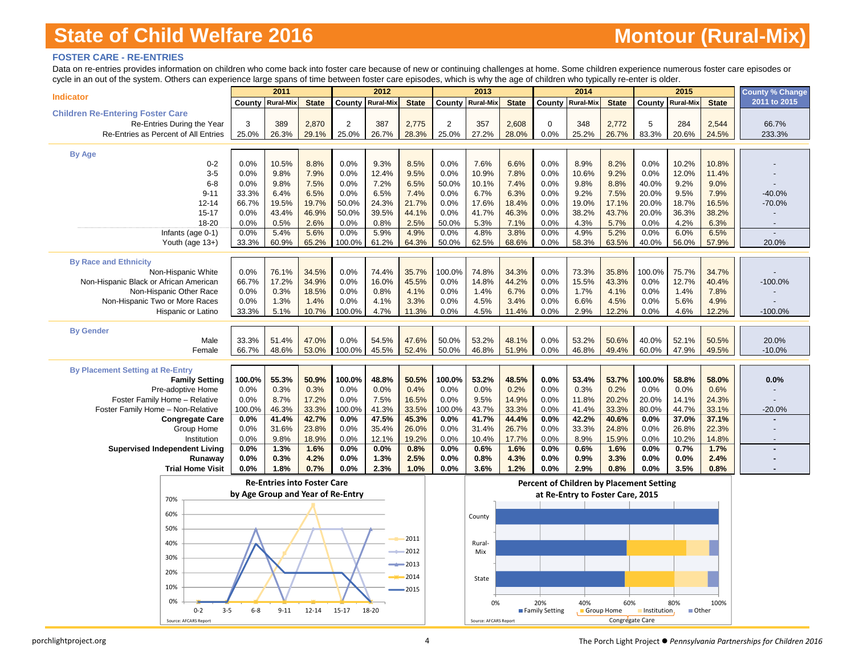# **Montour (Rural-Mix)**

### **FOSTER CARE - RE-ENTRIES**

Data on re-entries provides information on children who come back into foster care because of new or continuing challenges at home. Some children experience numerous foster care episodes or cycle in an out of the system. Others can experience large spans of time between foster care episodes, which is why the age of children who typically re-enter is older.

| opho in an out or the system. Others can experience large spans or time between roster care episoues, which is wright allege or children who typically re-enter is older. |                                   | 2011                               |                |                | 2012                    |                    |              | 2013                  |                |                | 2014                                            |                 |              | 2015             |               | <b>County % Change</b> |
|---------------------------------------------------------------------------------------------------------------------------------------------------------------------------|-----------------------------------|------------------------------------|----------------|----------------|-------------------------|--------------------|--------------|-----------------------|----------------|----------------|-------------------------------------------------|-----------------|--------------|------------------|---------------|------------------------|
| <b>Indicator</b>                                                                                                                                                          |                                   | <b>County Rural-Mix</b>            | <b>State</b>   |                | <b>County Rural-Mix</b> | <b>State</b>       | County       | <b>Rural-Mix</b>      | <b>State</b>   | County         | <b>Rural-Mix</b>                                | <b>State</b>    | County       | <b>Rural-Mix</b> | <b>State</b>  | 2011 to 2015           |
| <b>Children Re-Entering Foster Care</b>                                                                                                                                   |                                   |                                    |                |                |                         |                    |              |                       |                |                |                                                 |                 |              |                  |               |                        |
| Re-Entries During the Year                                                                                                                                                | 3                                 | 389                                | 2,870          | $\overline{2}$ | 387                     | 2,775              | 2            | 357                   | 2,608          | $\mathbf 0$    | 348                                             | 2,772           | 5            | 284              | 2,544         | 66.7%                  |
| Re-Entries as Percent of All Entries                                                                                                                                      | 25.0%                             | 26.3%                              | 29.1%          | 25.0%          | 26.7%                   | 28.3%              | 25.0%        | 27.2%                 | 28.0%          | 0.0%           | 25.2%                                           | 26.7%           | 83.3%        | 20.6%            | 24.5%         | 233.3%                 |
|                                                                                                                                                                           |                                   |                                    |                |                |                         |                    |              |                       |                |                |                                                 |                 |              |                  |               |                        |
| <b>By Age</b>                                                                                                                                                             |                                   |                                    |                |                |                         |                    |              |                       |                |                |                                                 |                 |              |                  |               |                        |
| $0 - 2$                                                                                                                                                                   | 0.0%                              | 10.5%                              | 8.8%           | 0.0%           | 9.3%                    | 8.5%               | 0.0%         | 7.6%                  | 6.6%           | 0.0%           | 8.9%                                            | 8.2%            | 0.0%         | 10.2%            | 10.8%         |                        |
| $3-5$                                                                                                                                                                     | 0.0%                              | 9.8%                               | 7.9%           | 0.0%           | 12.4%                   | 9.5%               | 0.0%         | 10.9%                 | 7.8%           | 0.0%           | 10.6%                                           | 9.2%            | 0.0%         | 12.0%            | 11.4%         |                        |
| $6 - 8$                                                                                                                                                                   | 0.0%                              | 9.8%                               | 7.5%           | 0.0%           | 7.2%                    | 6.5%               | 50.0%        | 10.1%                 | 7.4%           | 0.0%           | 9.8%                                            | 8.8%            | 40.0%        | 9.2%             | 9.0%          |                        |
| $9 - 11$                                                                                                                                                                  | 33.3%                             | 6.4%                               | 6.5%           | 0.0%           | 6.5%                    | 7.4%               | 0.0%         | 6.7%                  | 6.3%           | 0.0%           | 9.2%                                            | 7.5%            | 20.0%        | 9.5%             | 7.9%          | $-40.0%$               |
| $12 - 14$                                                                                                                                                                 | 66.7%                             | 19.5%                              | 19.7%          | 50.0%          | 24.3%                   | 21.7%              | 0.0%         | 17.6%                 | 18.4%          | 0.0%           | 19.0%                                           | 17.1%           | 20.0%        | 18.7%            | 16.5%         | $-70.0%$               |
| $15 - 17$                                                                                                                                                                 | 0.0%                              | 43.4%                              | 46.9%          | 50.0%          | 39.5%                   | 44.1%              | 0.0%         | 41.7%                 | 46.3%          | 0.0%           | 38.2%                                           | 43.7%           | 20.0%        | 36.3%            | 38.2%         |                        |
| 18-20                                                                                                                                                                     | 0.0%                              | 0.5%                               | 2.6%           | 0.0%           | 0.8%                    | 2.5%               | 50.0%        | 5.3%                  | 7.1%           | 0.0%           | 4.3%                                            | 5.7%            | 0.0%         | 4.2%             | 6.3%          |                        |
| Infants (age 0-1)                                                                                                                                                         | 0.0%                              | 5.4%                               | 5.6%           | 0.0%           | 5.9%                    | 4.9%               | 0.0%         | 4.8%                  | 3.8%           | 0.0%           | 4.9%                                            | 5.2%            | 0.0%         | 6.0%             | 6.5%          |                        |
| Youth (age 13+)                                                                                                                                                           | 33.3%                             | 60.9%                              | 65.2%          | 100.0%         | 61.2%                   | 64.3%              | 50.0%        | 62.5%                 | 68.6%          | 0.0%           | 58.3%                                           | 63.5%           | 40.0%        | 56.0%            | 57.9%         | 20.0%                  |
|                                                                                                                                                                           |                                   |                                    |                |                |                         |                    |              |                       |                |                |                                                 |                 |              |                  |               |                        |
| <b>By Race and Ethnicity</b>                                                                                                                                              |                                   |                                    |                |                |                         |                    |              |                       |                |                |                                                 |                 |              |                  |               |                        |
| Non-Hispanic White                                                                                                                                                        | 0.0%                              | 76.1%                              | 34.5%          | 0.0%           | 74.4%                   | 35.7%              | 100.0%       | 74.8%                 | 34.3%<br>44.2% | 0.0%           | 73.3%                                           | 35.8%<br>43.3%  | 100.0%       | 75.7%            | 34.7%         |                        |
| Non-Hispanic Black or African American<br>Non-Hispanic Other Race                                                                                                         | 66.7%<br>0.0%                     | 17.2%<br>0.3%                      | 34.9%<br>18.5% | 0.0%<br>0.0%   | 16.0%<br>0.8%           | 45.5%<br>4.1%      | 0.0%<br>0.0% | 14.8%<br>1.4%         | 6.7%           | 0.0%<br>0.0%   | 15.5%<br>1.7%                                   | 4.1%            | 0.0%<br>0.0% | 12.7%<br>1.4%    | 40.4%<br>7.8% | $-100.0%$              |
| Non-Hispanic Two or More Races                                                                                                                                            | 0.0%                              | 1.3%                               | 1.4%           | 0.0%           | 4.1%                    | 3.3%               | 0.0%         | 4.5%                  | 3.4%           | 0.0%           | 6.6%                                            | 4.5%            | 0.0%         | 5.6%             | 4.9%          |                        |
| Hispanic or Latino                                                                                                                                                        | 33.3%                             | 5.1%                               | 10.7%          | 100.0%         | 4.7%                    | 11.3%              | 0.0%         | 4.5%                  | 11.4%          | 0.0%           | 2.9%                                            | 12.2%           | 0.0%         | 4.6%             | 12.2%         | $-100.0%$              |
|                                                                                                                                                                           |                                   |                                    |                |                |                         |                    |              |                       |                |                |                                                 |                 |              |                  |               |                        |
| <b>By Gender</b>                                                                                                                                                          |                                   |                                    |                |                |                         |                    |              |                       |                |                |                                                 |                 |              |                  |               |                        |
| Male                                                                                                                                                                      | 33.3%                             | 51.4%                              | 47.0%          | 0.0%           | 54.5%                   | 47.6%              | 50.0%        | 53.2%                 | 48.1%          | 0.0%           | 53.2%                                           | 50.6%           | 40.0%        | 52.1%            | 50.5%         | 20.0%                  |
| Female                                                                                                                                                                    | 66.7%                             | 48.6%                              | 53.0%          | 100.0%         | 45.5%                   | 52.4%              | 50.0%        | 46.8%                 | 51.9%          | 0.0%           | 46.8%                                           | 49.4%           | 60.0%        | 47.9%            | 49.5%         | $-10.0%$               |
|                                                                                                                                                                           |                                   |                                    |                |                |                         |                    |              |                       |                |                |                                                 |                 |              |                  |               |                        |
| <b>By Placement Setting at Re-Entry</b>                                                                                                                                   |                                   |                                    |                |                |                         |                    |              |                       |                |                |                                                 |                 |              |                  |               |                        |
| <b>Family Setting</b>                                                                                                                                                     | 100.0%                            | 55.3%                              | 50.9%          | 100.0%         | 48.8%                   | 50.5%              | 100.0%       | 53.2%                 | 48.5%          | 0.0%           | 53.4%                                           | 53.7%           | 100.0%       | 58.8%            | 58.0%         | 0.0%                   |
| Pre-adoptive Home                                                                                                                                                         | 0.0%                              | 0.3%                               | 0.3%           | 0.0%           | 0.0%                    | 0.4%               | 0.0%         | 0.0%                  | 0.2%           | 0.0%           | 0.3%                                            | 0.2%            | 0.0%         | 0.0%             | 0.6%          |                        |
| Foster Family Home - Relative                                                                                                                                             | 0.0%                              | 8.7%                               | 17.2%          | 0.0%           | 7.5%                    | 16.5%              | 0.0%         | 9.5%                  | 14.9%          | 0.0%           | 11.8%                                           | 20.2%           | 20.0%        | 14.1%            | 24.3%         |                        |
| Foster Family Home - Non-Relative                                                                                                                                         | 100.0%                            | 46.3%                              | 33.3%          | 100.0%         | 41.3%                   | 33.5%              | 100.0%       | 43.7%                 | 33.3%          | 0.0%           | 41.4%                                           | 33.3%           | 80.0%        | 44.7%            | 33.1%         | $-20.0%$               |
| <b>Congregate Care</b>                                                                                                                                                    | 0.0%                              | 41.4%                              | 42.7%          | 0.0%           | 47.5%                   | 45.3%              | 0.0%         | 41.7%                 | 44.4%          | 0.0%           | 42.2%                                           | 40.6%           | 0.0%         | 37.0%            | 37.1%         |                        |
| Group Home                                                                                                                                                                | 0.0%                              | 31.6%<br>9.8%                      | 23.8%          | 0.0%           | 35.4%<br>12.1%          | 26.0%              | 0.0%<br>0.0% | 31.4%                 | 26.7%          | 0.0%           | 33.3%                                           | 24.8%           | 0.0%<br>0.0% | 26.8%            | 22.3%         |                        |
| Institution<br><b>Supervised Independent Living</b>                                                                                                                       | 0.0%<br>0.0%                      | 1.3%                               | 18.9%<br>1.6%  | 0.0%<br>0.0%   | 0.0%                    | 19.2%<br>0.8%      | 0.0%         | 10.4%<br>0.6%         | 17.7%<br>1.6%  | 0.0%<br>0.0%   | 8.9%<br>0.6%                                    | 15.9%<br>1.6%   | 0.0%         | 10.2%<br>0.7%    | 14.8%<br>1.7% |                        |
| Runaway                                                                                                                                                                   | 0.0%                              | 0.3%                               | 4.2%           | 0.0%           | 1.3%                    | 2.5%               | 0.0%         | 0.8%                  | 4.3%           | 0.0%           | 0.9%                                            | 3.3%            | 0.0%         | 0.0%             | 2.4%          |                        |
| <b>Trial Home Visit</b>                                                                                                                                                   | 0.0%                              | 1.8%                               | 0.7%           | 0.0%           | 2.3%                    | 1.0%               | 0.0%         | 3.6%                  | 1.2%           | 0.0%           | 2.9%                                            | 0.8%            | 0.0%         | 3.5%             | 0.8%          |                        |
|                                                                                                                                                                           |                                   |                                    |                |                |                         |                    |              |                       |                |                |                                                 |                 |              |                  |               |                        |
|                                                                                                                                                                           |                                   | <b>Re-Entries into Foster Care</b> |                |                |                         |                    |              |                       |                |                | <b>Percent of Children by Placement Setting</b> |                 |              |                  |               |                        |
| 70%                                                                                                                                                                       | by Age Group and Year of Re-Entry |                                    |                |                |                         |                    |              |                       |                |                | at Re-Entry to Foster Care, 2015                |                 |              |                  |               |                        |
|                                                                                                                                                                           |                                   |                                    |                |                |                         |                    |              |                       |                |                |                                                 |                 |              |                  |               |                        |
| 60%                                                                                                                                                                       |                                   |                                    |                |                |                         |                    |              | County                |                |                |                                                 |                 |              |                  |               |                        |
| 50%                                                                                                                                                                       |                                   |                                    |                |                |                         |                    |              |                       |                |                |                                                 |                 |              |                  |               |                        |
| 40%                                                                                                                                                                       |                                   |                                    |                |                |                         | 2011               |              | Rural-                |                |                |                                                 |                 |              |                  |               |                        |
|                                                                                                                                                                           |                                   |                                    |                |                |                         | 2012               |              | Mix                   |                |                |                                                 |                 |              |                  |               |                        |
| 30%                                                                                                                                                                       |                                   |                                    |                |                |                         | $\rightarrow$ 2013 |              |                       |                |                |                                                 |                 |              |                  |               |                        |
| 20%                                                                                                                                                                       |                                   |                                    |                |                |                         |                    |              |                       |                |                |                                                 |                 |              |                  |               |                        |
|                                                                                                                                                                           |                                   |                                    |                |                |                         | 2014               |              | State                 |                |                |                                                 |                 |              |                  |               |                        |
| 10%                                                                                                                                                                       |                                   |                                    |                |                |                         | 2015               |              |                       |                |                |                                                 |                 |              |                  |               |                        |
| በ%                                                                                                                                                                        |                                   |                                    |                |                |                         |                    |              | 0%                    |                | 20%            | 40%                                             | 60%             |              | 80%              | 100%          |                        |
| $0 - 2$                                                                                                                                                                   | $3 - 5$<br>$6-8$                  | $9 - 11$                           | $12 - 14$      | $15 - 17$      | 18-20                   |                    |              |                       |                | Family Setting | Group Home                                      |                 | Institution, | <b>Other</b>     |               |                        |
| Source: AFCARS Report                                                                                                                                                     |                                   |                                    |                |                |                         |                    |              | Source: AFCARS Report |                |                |                                                 | Congregate Care |              |                  |               |                        |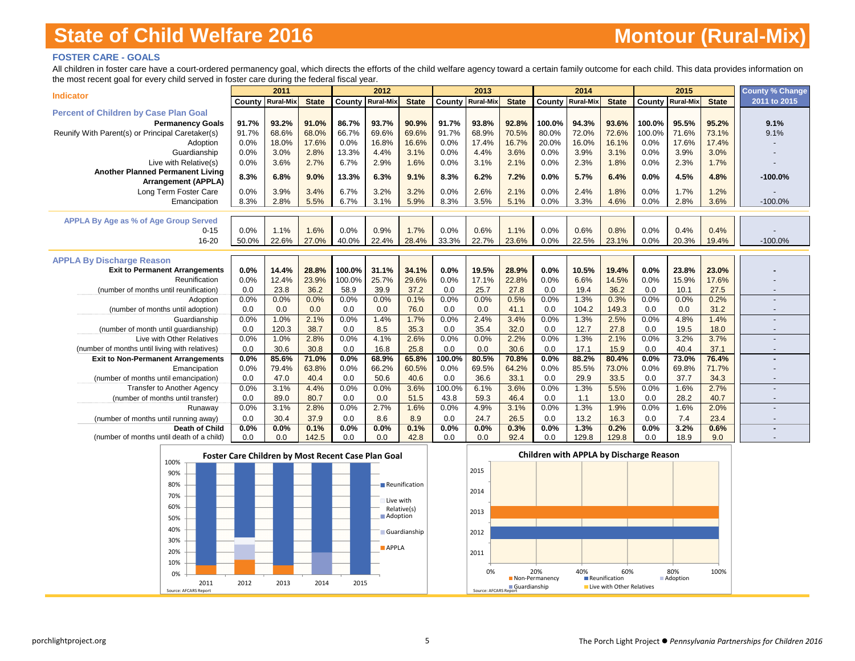### **FOSTER CARE - GOALS**

All children in foster care have a court-ordered permanency goal, which directs the efforts of the child welfare agency toward a certain family outcome for each child. This data provides information on the most recent goal for every child served in foster care during the federal fiscal year.

|                                                  |       | 2011                    |              |        | 2012             |              |           | 2013                    |              |        | 2014                    |              |        | 2015                    |              | <b>County % Change</b> |
|--------------------------------------------------|-------|-------------------------|--------------|--------|------------------|--------------|-----------|-------------------------|--------------|--------|-------------------------|--------------|--------|-------------------------|--------------|------------------------|
| <b>Indicator</b>                                 |       | <b>County Rural-Mix</b> | <b>State</b> | County | <b>Rural-Mix</b> | <b>State</b> |           | <b>County Rural-Mix</b> | <b>State</b> |        | <b>County Rural-Mix</b> | <b>State</b> |        | <b>County Rural-Mix</b> | <b>State</b> | 2011 to 2015           |
| <b>Percent of Children by Case Plan Goal</b>     |       |                         |              |        |                  |              |           |                         |              |        |                         |              |        |                         |              |                        |
| <b>Permanency Goals</b>                          | 91.7% | 93.2%                   | 91.0%        | 86.7%  | 93.7%            | 90.9%        | 91.7%     | 93.8%                   | 92.8%        | 100.0% | 94.3%                   | 93.6%        | 100.0% | 95.5%                   | 95.2%        | 9.1%                   |
| Reunify With Parent(s) or Principal Caretaker(s) | 91.7% | 68.6%                   | 68.0%        | 66.7%  | 69.6%            | 69.6%        | 91.7%     | 68.9%                   | 70.5%        | 80.0%  | 72.0%                   | 72.6%        | 100.0% | 71.6%                   | 73.1%        | 9.1%                   |
| Adoption                                         | 0.0%  | 18.0%                   | 17.6%        | 0.0%   | 16.8%            | 16.6%        | 0.0%      | 17.4%                   | 16.7%        | 20.0%  | 16.0%                   | 16.1%        | 0.0%   | 17.6%                   | 17.4%        |                        |
| Guardianship                                     | 0.0%  | 3.0%                    | 2.8%         | 13.3%  | 4.4%             | 3.1%         | 0.0%      | 4.4%                    | 3.6%         | 0.0%   | 3.9%                    | 3.1%         | 0.0%   | 3.9%                    | 3.0%         |                        |
| Live with Relative(s)                            | 0.0%  | 3.6%                    | 2.7%         | 6.7%   | 2.9%             | 1.6%         | 0.0%      | 3.1%                    | 2.1%         | 0.0%   | 2.3%                    | 1.8%         | 0.0%   | 2.3%                    | 1.7%         |                        |
| <b>Another Planned Permanent Living</b>          | 8.3%  | 6.8%                    | 9.0%         | 13.3%  | 6.3%             | 9.1%         | 8.3%      | 6.2%                    | 7.2%         | 0.0%   | 5.7%                    | 6.4%         | 0.0%   | 4.5%                    | 4.8%         | $-100.0%$              |
| <b>Arrangement (APPLA)</b>                       |       |                         |              |        |                  |              |           |                         |              |        |                         |              |        |                         |              |                        |
| Long Term Foster Care                            | 0.0%  | 3.9%                    | 3.4%         | 6.7%   | 3.2%             | 3.2%         | 0.0%      | 2.6%                    | 2.1%         | 0.0%   | 2.4%                    | 1.8%         | 0.0%   | 1.7%                    | 1.2%         |                        |
| Emancipation                                     | 8.3%  | 2.8%                    | 5.5%         | 6.7%   | 3.1%             | 5.9%         | 8.3%      | 3.5%                    | 5.1%         | 0.0%   | 3.3%                    | 4.6%         | 0.0%   | 2.8%                    | 3.6%         | $-100.0%$              |
| APPLA By Age as % of Age Group Served            |       |                         |              |        |                  |              |           |                         |              |        |                         |              |        |                         |              |                        |
| $0 - 15$                                         | 0.0%  | 1.1%                    | 1.6%         | 0.0%   | 0.9%             | 1.7%         | 0.0%      | 0.6%                    | 1.1%         | 0.0%   | 0.6%                    | 0.8%         | 0.0%   | 0.4%                    | 0.4%         |                        |
| 16-20                                            | 50.0% | 22.6%                   | 27.0%        | 40.0%  | 22.4%            | 28.4%        | 33.3%     | 22.7%                   | 23.6%        | 0.0%   | 22.5%                   | 23.1%        | 0.0%   | 20.3%                   | 19.4%        | $-100.0%$              |
|                                                  |       |                         |              |        |                  |              |           |                         |              |        |                         |              |        |                         |              |                        |
| <b>APPLA By Discharge Reason</b>                 |       |                         |              |        |                  |              |           |                         |              |        |                         |              |        |                         |              |                        |
| <b>Exit to Permanent Arrangements</b>            | 0.0%  | 14.4%                   | 28.8%        | 100.0% | 31.1%            | 34.1%        | 0.0%      | 19.5%                   | 28.9%        | 0.0%   | 10.5%                   | 19.4%        | 0.0%   | 23.8%                   | 23.0%        |                        |
| Reunification                                    | 0.0%  | 12.4%                   | 23.9%        | 100.0% | 25.7%            | 29.6%        | 0.0%      | 17.1%                   | 22.8%        | 0.0%   | 6.6%                    | 14.5%        | 0.0%   | 15.9%                   | 17.6%        |                        |
| (number of months until reunification)           | 0.0   | 23.8                    | 36.2         | 58.9   | 39.9             | 37.2         | 0.0       | 25.7                    | 27.8         | 0.0    | 19.4                    | 36.2         | 0.0    | 10.1                    | 27.5         |                        |
| Adoption                                         | 0.0%  | 0.0%                    | 0.0%         | 0.0%   | 0.0%             | 0.1%         | 0.0%      | 0.0%                    | 0.5%         | 0.0%   | 1.3%                    | 0.3%         | 0.0%   | 0.0%                    | 0.2%         |                        |
| (number of months until adoption)                | 0.0   | 0.0                     | 0.0          | 0.0    | 0.0              | 76.0         | 0.0       | 0.0                     | 41.1         | 0.0    | 104.2                   | 149.3        | 0.0    | 0.0                     | 31.2         |                        |
| Guardianship                                     | 0.0%  | 1.0%                    | 2.1%         | 0.0%   | 1.4%             | 1.7%         | 0.0%      | 2.4%                    | 3.4%         | 0.0%   | 1.3%                    | 2.5%         | 0.0%   | 4.8%                    | 1.4%         |                        |
| (number of month until quardianship)             | 0.0   | 120.3                   | 38.7         | 0.0    | 8.5              | 35.3         | 0.0       | 35.4                    | 32.0         | 0.0    | 12.7                    | 27.8         | 0.0    | 19.5                    | 18.0         |                        |
| Live with Other Relatives                        | 0.0%  | 1.0%                    | 2.8%         | 0.0%   | 4.1%             | 2.6%         | 0.0%      | 0.0%                    | 2.2%         | 0.0%   | 1.3%                    | 2.1%         | 0.0%   | 3.2%                    | 3.7%         |                        |
| (number of months until living with relatives)   | 0.0   | 30.6                    | 30.8         | 0.0    | 16.8             | 25.8         | 0.0       | 0.0                     | 30.6         | 0.0    | 17.1                    | 15.9         | 0.0    | 40.4                    | 37.1         |                        |
| <b>Exit to Non-Permanent Arrangements</b>        | 0.0%  | 85.6%                   | 71.0%        | 0.0%   | 68.9%            | 65.8%        | $100.0\%$ | 80.5%                   | 70.8%        | 0.0%   | 88.2%                   | 80.4%        | 0.0%   | 73.0%                   | 76.4%        |                        |
| Emancipation                                     | 0.0%  | 79.4%                   | 63.8%        | 0.0%   | 66.2%            | 60.5%        | 0.0%      | 69.5%                   | 64.2%        | 0.0%   | 85.5%                   | 73.0%        | 0.0%   | 69.8%                   | 71.7%        |                        |
| (number of months until emancipation)            | 0.0   | 47.0                    | 40.4         | 0.0    | 50.6             | 40.6         | 0.0       | 36.6                    | 33.1         | 0.0    | 29.9                    | 33.5         | 0.0    | 37.7                    | 34.3         |                        |
| <b>Transfer to Another Agency</b>                | 0.0%  | 3.1%                    | 4.4%         | 0.0%   | 0.0%             | 3.6%         | 100.0%    | 6.1%                    | 3.6%         | 0.0%   | 1.3%                    | 5.5%         | 0.0%   | 1.6%                    | 2.7%         |                        |
| (number of months until transfer)                | 0.0   | 89.0                    | 80.7         | 0.0    | 0.0              | 51.5         | 43.8      | 59.3                    | 46.4         | 0.0    | 1.1                     | 13.0         | 0.0    | 28.2                    | 40.7         |                        |
| Runaway                                          | 0.0%  | 3.1%                    | 2.8%         | 0.0%   | 2.7%             | 1.6%         | 0.0%      | 4.9%                    | 3.1%         | 0.0%   | 1.3%                    | 1.9%         | 0.0%   | 1.6%                    | 2.0%         |                        |
| (number of months until running away)            | 0.0   | 30.4                    | 37.9         | 0.0    | 8.6              | 8.9          | 0.0       | 24.7                    | 26.5         | 0.0    | 13.2                    | 16.3         | 0.0    | 7.4                     | 23.4         |                        |
| Death of Child                                   | 0.0%  | 0.0%                    | 0.1%         | 0.0%   | 0.0%             | 0.1%         | 0.0%      | 0.0%                    | 0.3%         | 0.0%   | 1.3%                    | 0.2%         | 0.0%   | 3.2%                    | 0.6%         |                        |
| (number of months until death of a child)        | 0.0   | 0.0                     | 142.5        | 0.0    | 0.0              | 42.8         | 0.0       | 0.0                     | 92.4         | 0.0    | 129.8                   | 129.8        | 0.0    | 18.9                    | 9.0          |                        |



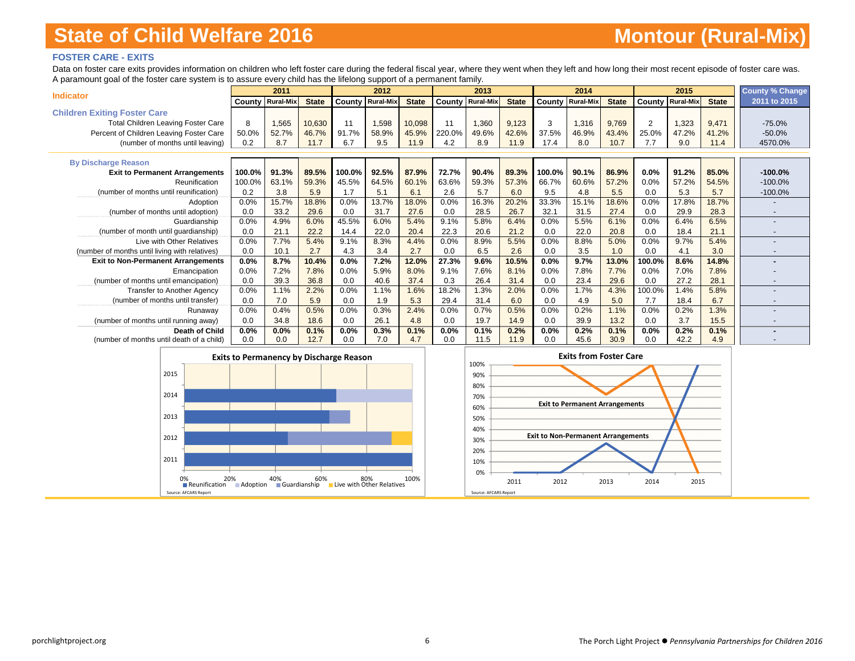### **FOSTER CARE - EXITS**

Data on foster care exits provides information on children who left foster care during the federal fiscal year, where they went when they left and how long their most recent episode of foster care was. A paramount goal of the foster care system is to assure every child has the lifelong support of a permanent family.

| <b>Indicator</b>                               |         | 2011                    |              |                         | 2012  |              |        | 2013                    |              |        | 2014                    |              |        | 2015                    |              | <b>County % Change</b> |
|------------------------------------------------|---------|-------------------------|--------------|-------------------------|-------|--------------|--------|-------------------------|--------------|--------|-------------------------|--------------|--------|-------------------------|--------------|------------------------|
|                                                |         | <b>County Rural-Mix</b> | <b>State</b> | <b>County Rural-Mix</b> |       | <b>State</b> |        | <b>County Rural-Mix</b> | <b>State</b> |        | <b>County Rural-Mix</b> | <b>State</b> |        | <b>County Rural-Mix</b> | <b>State</b> | 2011 to 2015           |
| <b>Children Exiting Foster Care</b>            |         |                         |              |                         |       |              |        |                         |              |        |                         |              |        |                         |              |                        |
| <b>Total Children Leaving Foster Care</b>      | 8       | 1,565                   | 10,630       | 11                      | 1,598 | 10,098       | 11     | 1,360                   | 9,123        | 3      | 1,316                   | 9,769        | 2      | 1,323                   | 9,471        | $-75.0%$               |
| Percent of Children Leaving Foster Care        | 50.0%   | 52.7%                   | 46.7%        | 91.7%                   | 58.9% | 45.9%        | 220.0% | 49.6%                   | 42.6%        | 37.5%  | 46.9%                   | 43.4%        | 25.0%  | 47.2%                   | 41.2%        | $-50.0%$               |
| (number of months until leaving)               | 0.2     | 8.7                     | 11.7         | 6.7                     | 9.5   | 11.9         | 4.2    | 8.9                     | 11.9         | 17.4   | 8.0                     | 10.7         | 7.7    | 9.0                     | 11.4         | 4570.0%                |
|                                                |         |                         |              |                         |       |              |        |                         |              |        |                         |              |        |                         |              |                        |
| <b>By Discharge Reason</b>                     |         |                         |              |                         |       |              |        |                         |              |        |                         |              |        |                         |              |                        |
| <b>Exit to Permanent Arrangements</b>          | 100.0%  | 91.3%                   | 89.5%        | 100.0%                  | 92.5% | 87.9%        | 72.7%  | 90.4%                   | 89.3%        | 100.0% | 90.1%                   | 86.9%        | 0.0%   | 91.2%                   | 85.0%        | $-100.0%$              |
| Reunification                                  | 100.0%  | 63.1%                   | 59.3%        | 45.5%                   | 64.5% | 60.1%        | 63.6%  | 59.3%                   | 57.3%        | 66.7%  | 60.6%                   | 57.2%        | 0.0%   | 57.2%                   | 54.5%        | $-100.0%$              |
| (number of months until reunification)         | 0.2     | 3.8                     | 5.9          | 1.7                     | 5.1   | 6.1          | 2.6    | 5.7                     | 6.0          | 9.5    | 4.8                     | 5.5          | 0.0    | 5.3                     | 5.7          | $-100.0%$              |
| Adoption                                       | 0.0%    | 15.7%                   | 18.8%        | 0.0%                    | 13.7% | 18.0%        | 0.0%   | 16.3%                   | 20.2%        | 33.3%  | 15.1%                   | 18.6%        | 0.0%   | 17.8%                   | 18.7%        |                        |
| (number of months until adoption)              | 0.0     | 33.2                    | 29.6         | 0.0                     | 31.7  | 27.6         | 0.0    | 28.5                    | 26.7         | 32.1   | 31.5                    | 27.4         | 0.0    | 29.9                    | 28.3         |                        |
| Guardianship                                   | 0.0%    | 4.9%                    | 6.0%         | 45.5%                   | 6.0%  | 5.4%         | 9.1%   | 5.8%                    | 6.4%         | 0.0%   | 5.5%                    | 6.1%         | 0.0%   | 6.4%                    | 6.5%         |                        |
| (number of month until guardianship)           | 0.0     | 21.1                    | 22.2         | 14.4                    | 22.0  | 20.4         | 22.3   | 20.6                    | 21.2         | 0.0    | 22.0                    | 20.8         | 0.0    | 18.4                    | 21.1         |                        |
| Live with Other Relatives                      | 0.0%    | 7.7%                    | 5.4%         | 9.1%                    | 8.3%  | 4.4%         | 0.0%   | 8.9%                    | 5.5%         | 0.0%   | 8.8%                    | 5.0%         | 0.0%   | 9.7%                    | 5.4%         |                        |
| (number of months until living with relatives) | 0.0     | 10.1                    | 2.7          | 4.3                     | 3.4   | 2.7          | 0.0    | 6.5                     | 2.6          | 0.0    | 3.5                     | 1.0          | 0.0    | 4.1                     | 3.0          |                        |
| <b>Exit to Non-Permanent Arrangements</b>      | $0.0\%$ | 8.7%                    | 10.4%        | $0.0\%$                 | 7.2%  | 12.0%        | 27.3%  | 9.6%                    | 10.5%        | 0.0%   | 9.7%                    | 13.0%        | 100.0% | 8.6%                    | 14.8%        |                        |
| Emancipation                                   | 0.0%    | 7.2%                    | 7.8%         | 0.0%                    | 5.9%  | 8.0%         | 9.1%   | 7.6%                    | 8.1%         | 0.0%   | 7.8%                    | 7.7%         | 0.0%   | 7.0%                    | 7.8%         |                        |
| (number of months until emancipation)          | 0.0     | 39.3                    | 36.8         | 0.0                     | 40.6  | 37.4         | 0.3    | 26.4                    | 31.4         | 0.0    | 23.4                    | 29.6         | 0.0    | 27.2                    | 28.1         |                        |
| <b>Transfer to Another Agency</b>              | 0.0%    | 1.1%                    | 2.2%         | 0.0%                    | 1.1%  | 1.6%         | 18.2%  | 1.3%                    | 2.0%         | 0.0%   | 1.7%                    | 4.3%         | 100.0% | 1.4%                    | 5.8%         |                        |
| (number of months until transfer)              | 0.0     | 7.0                     | 5.9          | 0.0                     | 1.9   | 5.3          | 29.4   | 31.4                    | 6.0          | 0.0    | 4.9                     | 5.0          | 7.7    | 18.4                    | 6.7          |                        |
| Runaway                                        | 0.0%    | 0.4%                    | 0.5%         | 0.0%                    | 0.3%  | 2.4%         | 0.0%   | 0.7%                    | 0.5%         | 0.0%   | 0.2%                    | 1.1%         | 0.0%   | 0.2%                    | 1.3%         |                        |
| (number of months until running away)          | 0.0     | 34.8                    | 18.6         | 0.0                     | 26.1  | 4.8          | 0.0    | 19.7                    | 14.9         | 0.0    | 39.9                    | 13.2         | 0.0    | 3.7                     | 15.5         |                        |
| Death of Child                                 | $0.0\%$ | 0.0%                    | 0.1%         | 0.0%                    | 0.3%  | 0.1%         | 0.0%   | 0.1%                    | 0.2%         | 0.0%   | 0.2%                    | 0.1%         | 0.0%   | 0.2%                    | 0.1%         |                        |
| (number of months until death of a child)      | 0.0     | 0.0                     | 12.7         | 0.0                     | 7.0   | 4.7          | 0.0    | 11.5                    | 11.9         | 0.0    | 45.6                    | 30.9         | 0.0    | 42.2                    | 4.9          |                        |

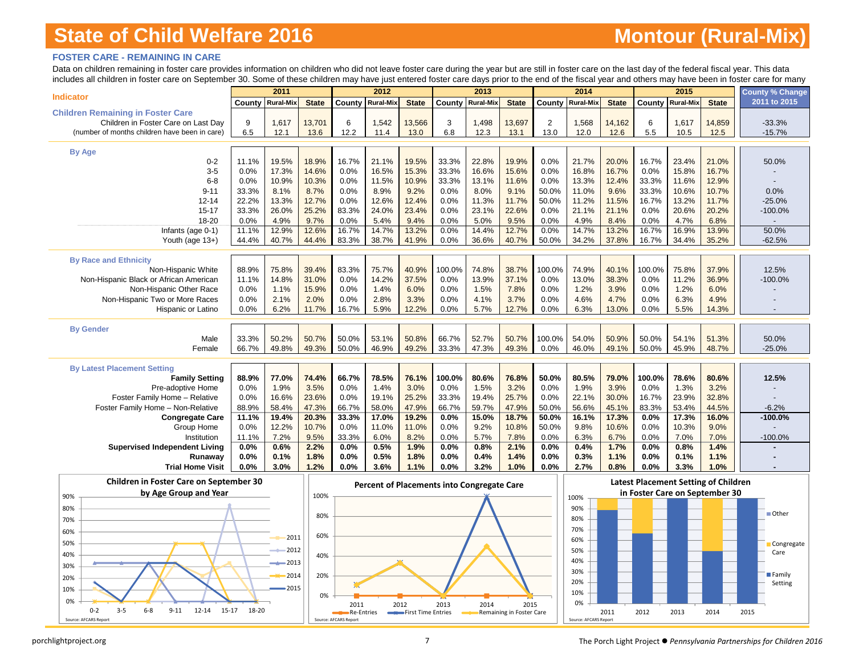# **Montour (Rural-Mix)**

### **FOSTER CARE - REMAINING IN CARE**

Data on children remaining in foster care provides information on children who did not leave foster care during the year but are still in foster care on the last day of the federal fiscal year. This data includes all children in foster care on September 30. Some of these children may have just entered foster care days prior to the end of the fiscal year and others may have been in foster care for many

|                                                    |                         | 2011  |              |        | 2012                                       |              |          | 2013             |              |                | 2014             |              |        | 2015                                        |              | County % Change |
|----------------------------------------------------|-------------------------|-------|--------------|--------|--------------------------------------------|--------------|----------|------------------|--------------|----------------|------------------|--------------|--------|---------------------------------------------|--------------|-----------------|
| <b>Indicator</b>                                   | <b>County Rural-Mix</b> |       | <b>State</b> | County | <b>Rural-Mix</b>                           | <b>State</b> | County I | <b>Rural-Mix</b> | <b>State</b> | County         | <b>Rural-Mix</b> | <b>State</b> | County | <b>Rural-Mix</b>                            | <b>State</b> | 2011 to 2015    |
| <b>Children Remaining in Foster Care</b>           |                         |       |              |        |                                            |              |          |                  |              |                |                  |              |        |                                             |              |                 |
| Children in Foster Care on Last Day                | 9                       | 1,617 | 13,701       | 6      | 1,542                                      | 13,566       | 3        | 1,498            | 13,697       | $\overline{2}$ | 1,568            | 14,162       | 6      | 1,617                                       | 14,859       | $-33.3%$        |
| (number of months children have been in care)      | 6.5                     | 12.1  | 13.6         | 12.2   | 11.4                                       | 13.0         | 6.8      | 12.3             | 13.1         | 13.0           | 12.0             | 12.6         | 5.5    | 10.5                                        | 12.5         | $-15.7%$        |
|                                                    |                         |       |              |        |                                            |              |          |                  |              |                |                  |              |        |                                             |              |                 |
| <b>By Age</b>                                      |                         |       |              |        |                                            |              |          |                  |              |                |                  |              |        |                                             |              |                 |
| $0 - 2$                                            | 11.1%                   | 19.5% | 18.9%        | 16.7%  | 21.1%                                      | 19.5%        | 33.3%    | 22.8%            | 19.9%        | 0.0%           | 21.7%            | 20.0%        | 16.7%  | 23.4%                                       | 21.0%        | 50.0%           |
| $3-5$                                              | 0.0%                    | 17.3% | 14.6%        | 0.0%   | 16.5%                                      | 15.3%        | 33.3%    | 16.6%            | 15.6%        | 0.0%           | 16.8%            | 16.7%        | 0.0%   | 15.8%                                       | 16.7%        |                 |
| $6 - 8$                                            | 0.0%                    | 10.9% | 10.3%        | 0.0%   | 11.5%                                      | 10.9%        | 33.3%    | 13.1%            | 11.6%        | 0.0%           | 13.3%            | 12.4%        | 33.3%  | 11.6%                                       | 12.9%        |                 |
| $9 - 11$                                           | 33.3%                   | 8.1%  | 8.7%         | 0.0%   | 8.9%                                       | 9.2%         | 0.0%     | 8.0%             | 9.1%         | 50.0%          | 11.0%            | 9.6%         | 33.3%  | 10.6%                                       | 10.7%        | 0.0%            |
| $12 - 14$                                          | 22.2%                   | 13.3% | 12.7%        | 0.0%   | 12.6%                                      | 12.4%        | 0.0%     | 11.3%            | 11.7%        | 50.0%          | 11.2%            | 11.5%        | 16.7%  | 13.2%                                       | 11.7%        | $-25.0%$        |
| $15 - 17$                                          | 33.3%                   | 26.0% | 25.2%        | 83.3%  | 24.0%                                      | 23.4%        | 0.0%     | 23.1%            | 22.6%        | 0.0%           | 21.1%            | 21.1%        | 0.0%   | 20.6%                                       | 20.2%        | $-100.0%$       |
| 18-20                                              | 0.0%                    | 4.9%  | 9.7%         | 0.0%   | 5.4%                                       | 9.4%         | 0.0%     | 5.0%             | 9.5%         | 0.0%           | 4.9%             | 8.4%         | 0.0%   | 4.7%                                        | 6.8%         |                 |
| Infants (age 0-1)                                  | 11.1%                   | 12.9% | 12.6%        | 16.7%  | 14.7%                                      | 13.2%        | 0.0%     | 14.4%            | 12.7%        | 0.0%           | 14.7%            | 13.2%        | 16.7%  | 16.9%                                       | 13.9%        | 50.0%           |
| Youth (age 13+)                                    | 44.4%                   | 40.7% | 44.4%        | 83.3%  | 38.7%                                      | 41.9%        | 0.0%     | 36.6%            | 40.7%        | 50.0%          | 34.2%            | 37.8%        | 16.7%  | 34.4%                                       | 35.2%        | $-62.5%$        |
|                                                    |                         |       |              |        |                                            |              |          |                  |              |                |                  |              |        |                                             |              |                 |
| <b>By Race and Ethnicity</b><br>Non-Hispanic White | 88.9%                   | 75.8% | 39.4%        | 83.3%  | 75.7%                                      | 40.9%        | 100.0%   | 74.8%            | 38.7%        | 100.0%         | 74.9%            | 40.1%        | 100.0% | 75.8%                                       | 37.9%        | 12.5%           |
| Non-Hispanic Black or African American             | 11.1%                   | 14.8% | 31.0%        | 0.0%   | 14.2%                                      | 37.5%        | 0.0%     | 13.9%            | 37.1%        | 0.0%           | 13.0%            | 38.3%        | 0.0%   | 11.2%                                       | 36.9%        | $-100.0%$       |
| Non-Hispanic Other Race                            | 0.0%                    | 1.1%  | 15.9%        | 0.0%   | 1.4%                                       | 6.0%         | 0.0%     | 1.5%             | 7.8%         | 0.0%           | 1.2%             | 3.9%         | 0.0%   | 1.2%                                        | 6.0%         |                 |
| Non-Hispanic Two or More Races                     | 0.0%                    | 2.1%  | 2.0%         | 0.0%   | 2.8%                                       | 3.3%         | 0.0%     | 4.1%             | 3.7%         | 0.0%           | 4.6%             | 4.7%         | 0.0%   | 6.3%                                        | 4.9%         |                 |
| Hispanic or Latino                                 | 0.0%                    | 6.2%  | 11.7%        | 16.7%  | 5.9%                                       | 12.2%        | 0.0%     | 5.7%             | 12.7%        | 0.0%           | 6.3%             | 13.0%        | 0.0%   | 5.5%                                        | 14.3%        |                 |
|                                                    |                         |       |              |        |                                            |              |          |                  |              |                |                  |              |        |                                             |              |                 |
| <b>By Gender</b>                                   |                         |       |              |        |                                            |              |          |                  |              |                |                  |              |        |                                             |              |                 |
| Male                                               | 33.3%                   | 50.2% | 50.7%        | 50.0%  | 53.1%                                      | 50.8%        | 66.7%    | 52.7%            | 50.7%        | 100.0%         | 54.0%            | 50.9%        | 50.0%  | 54.1%                                       | 51.3%        | 50.0%           |
| Female                                             | 66.7%                   | 49.8% | 49.3%        | 50.0%  | 46.9%                                      | 49.2%        | 33.3%    | 47.3%            | 49.3%        | 0.0%           | 46.0%            | 49.1%        | 50.0%  | 45.9%                                       | 48.7%        | $-25.0%$        |
|                                                    |                         |       |              |        |                                            |              |          |                  |              |                |                  |              |        |                                             |              |                 |
| <b>By Latest Placement Setting</b>                 |                         |       |              |        |                                            |              |          |                  |              |                |                  |              |        |                                             |              |                 |
| <b>Family Setting</b>                              | 88.9%                   | 77.0% | 74.4%        | 66.7%  | 78.5%                                      | 76.1%        | 100.0%   | 80.6%            | 76.8%        | 50.0%          | 80.5%            | 79.0%        | 100.0% | 78.6%                                       | 80.6%        | 12.5%           |
| Pre-adoptive Home                                  | 0.0%                    | 1.9%  | 3.5%         | 0.0%   | 1.4%                                       | 3.0%         | 0.0%     | 1.5%             | 3.2%         | 0.0%           | 1.9%             | 3.9%         | 0.0%   | 1.3%                                        | 3.2%         |                 |
| Foster Family Home - Relative                      | 0.0%                    | 16.6% | 23.6%        | 0.0%   | 19.1%                                      | 25.2%        | 33.3%    | 19.4%            | 25.7%        | 0.0%           | 22.1%            | 30.0%        | 16.7%  | 23.9%                                       | 32.8%        |                 |
| Foster Family Home - Non-Relative                  | 88.9%                   | 58.4% | 47.3%        | 66.7%  | 58.0%                                      | 47.9%        | 66.7%    | 59.7%            | 47.9%        | 50.0%          | 56.6%            | 45.1%        | 83.3%  | 53.4%                                       | 44.5%        | $-6.2%$         |
| <b>Congregate Care</b>                             | 11.1%                   | 19.4% | 20.3%        | 33.3%  | 17.0%                                      | 19.2%        | 0.0%     | 15.0%            | 18.7%        | 50.0%          | 16.1%            | 17.3%        | 0.0%   | 17.3%                                       | 16.0%        | $-100.0%$       |
| Group Home                                         | 0.0%                    | 12.2% | 10.7%        | 0.0%   | 11.0%                                      | 11.0%        | 0.0%     | 9.2%             | 10.8%        | 50.0%          | 9.8%             | 10.6%        | 0.0%   | 10.3%                                       | 9.0%         |                 |
| Institution                                        | 11.1%                   | 7.2%  | 9.5%         | 33.3%  | 6.0%                                       | 8.2%         | 0.0%     | 5.7%             | 7.8%         | 0.0%           | 6.3%             | 6.7%         | 0.0%   | 7.0%                                        | 7.0%         | $-100.0%$       |
| <b>Supervised Independent Living</b>               | 0.0%                    | 0.6%  | 2.2%         | 0.0%   | 0.5%                                       | 1.9%         | 0.0%     | 0.8%             | 2.1%         | 0.0%           | 0.4%             | 1.7%         | 0.0%   | 0.8%                                        | 1.4%         |                 |
| Runaway                                            | 0.0%                    | 0.1%  | 1.8%         | 0.0%   | 0.5%                                       | 1.8%         | 0.0%     | 0.4%             | 1.4%         | 0.0%           | 0.3%             | 1.1%         | 0.0%   | 0.1%                                        | 1.1%         |                 |
| <b>Trial Home Visit</b>                            | 0.0%                    | 3.0%  | 1.2%         | 0.0%   | 3.6%                                       | 1.1%         | 0.0%     | 3.2%             | 1.0%         | 0.0%           | 2.7%             | 0.8%         | 0.0%   | 3.3%                                        | 1.0%         |                 |
| <b>Children in Foster Care on September 30</b>     |                         |       |              |        | Percent of Placements into Congregate Care |              |          |                  |              |                |                  |              |        | <b>Latest Placement Setting of Children</b> |              |                 |